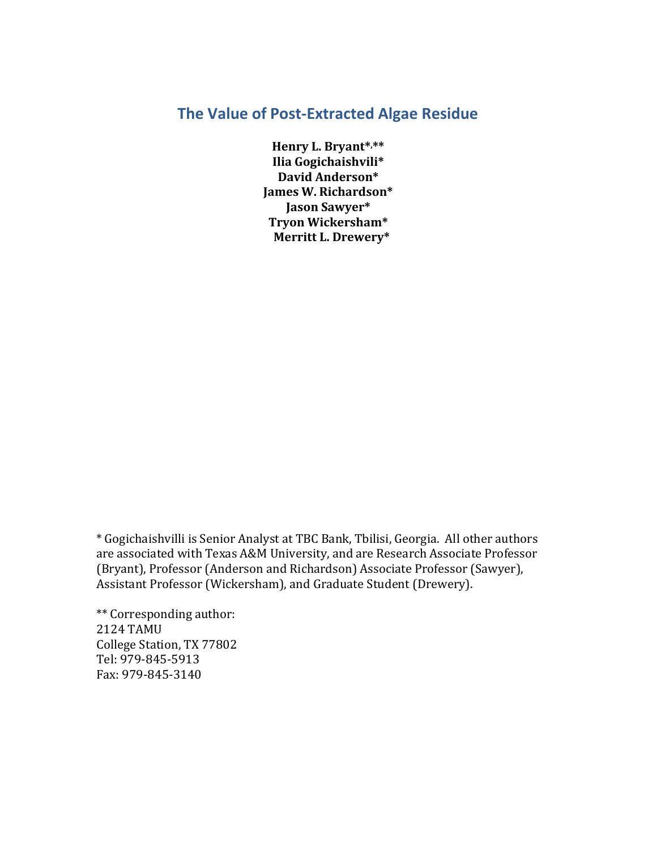# **The Value of Post‐Extracted Algae Residue**

**Henry L. Bryant\*, \*\* Ilia Gogichaishvili\* David Anderson\* James W. Richardson\* Jason Sawyer\* Tryon Wickersham\* Merritt L. Drewery\***

\* Gogichaishvilli is Senior Analyst at TBC Bank, Tbilisi, Georgia. All other authors are associated with Texas A&M University, and are Research Associate Professor (Bryant), Professor (Anderson and Richardson) Associate Professor (Sawyer), Assistant Professor (Wickersham), and Graduate Student (Drewery).

\*\* Corresponding author: 2124 TAMU College Station, TX 77802 Tel: 979‐845‐5913 Fax: 979‐845‐3140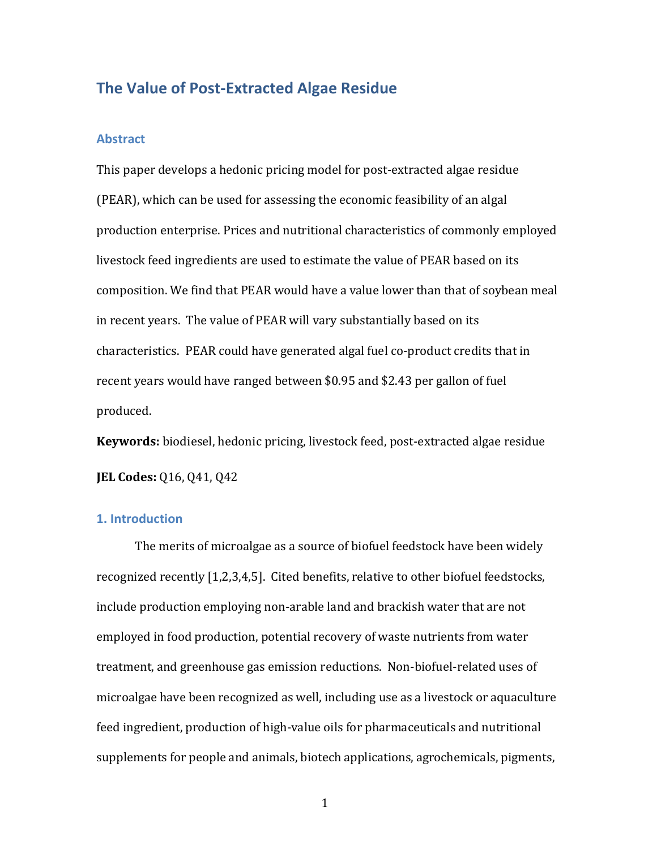# **The Value of Post‐Extracted Algae Residue**

#### **Abstract**

This paper develops a hedonic pricing model for post‐extracted algae residue (PEAR), which can be used for assessing the economic feasibility of an algal production enterprise. Prices and nutritional characteristics of commonly employed livestock feed ingredients are used to estimate the value of PEAR based on its composition. We find that PEAR would have a value lower than that of soybean meal in recent years. The value of PEAR will vary substantially based on its characteristics. PEAR could have generated algal fuel co‐product credits that in recent years would have ranged between \$0.95 and \$2.43 per gallon of fuel produced.

Keywords: biodiesel, hedonic pricing, livestock feed, post-extracted algae residue

**JEL Codes:** Q16, Q41, Q42

## **1. Introduction**

The merits of microalgae as a source of biofuel feedstock have been widely recognized recently [1,2,3,4,5]. Cited benefits, relative to other biofuel feedstocks, include production employing non‐arable land and brackish water that are not employed in food production, potential recovery of waste nutrients from water treatment, and greenhouse gas emission reductions. Non‐biofuel‐related uses of microalgae have been recognized as well, including use as a livestock or aquaculture feed ingredient, production of high‐value oils for pharmaceuticals and nutritional supplements for people and animals, biotech applications, agrochemicals, pigments,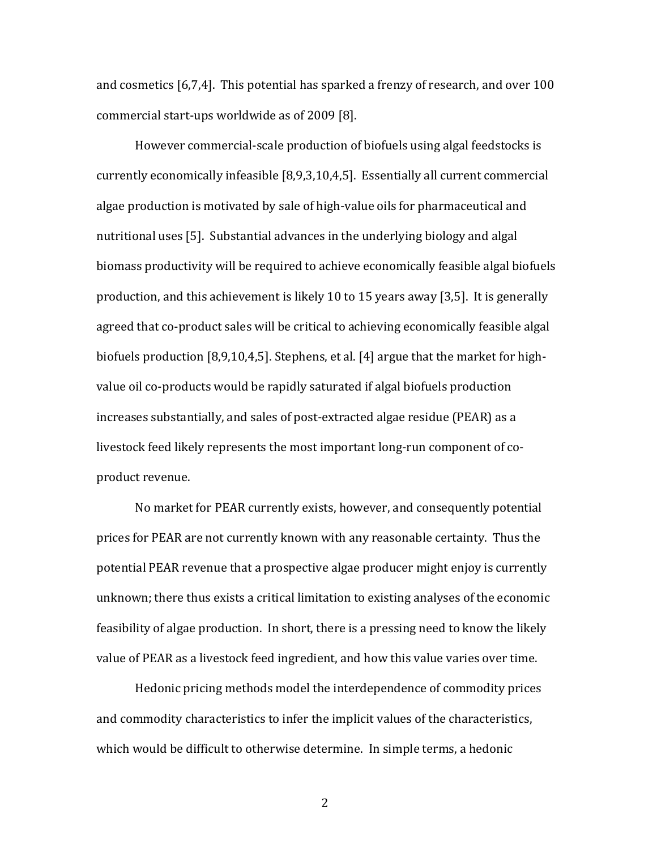and cosmetics [6,7,4]. This potential has sparked a frenzy of research, and over 100 commercial start‐ups worldwide as of 2009 [8].

However commercial‐scale production of biofuels using algal feedstocks is currently economically infeasible [8,9,3,10,4,5]. Essentially all current commercial algae production is motivated by sale of high‐value oils for pharmaceutical and nutritional uses [5]. Substantial advances in the underlying biology and algal biomass productivity will be required to achieve economically feasible algal biofuels production, and this achievement is likely 10 to 15 years away [3,5]. It is generally agreed that co‐product sales will be critical to achieving economically feasible algal biofuels production [8,9,10,4,5]. Stephens, et al. [4] argue that the market for high‐ value oil co-products would be rapidly saturated if algal biofuels production increases substantially, and sales of post‐extracted algae residue (PEAR) as a livestock feed likely represents the most important long‐run component of co‐ product revenue.

No market for PEAR currently exists, however, and consequently potential prices for PEAR are not currently known with any reasonable certainty. Thus the potential PEAR revenue that a prospective algae producer might enjoy is currently unknown; there thus exists a critical limitation to existing analyses of the economic feasibility of algae production. In short, there is a pressing need to know the likely value of PEAR as a livestock feed ingredient, and how this value varies over time.

Hedonic pricing methods model the interdependence of commodity prices and commodity characteristics to infer the implicit values of the characteristics, which would be difficult to otherwise determine. In simple terms, a hedonic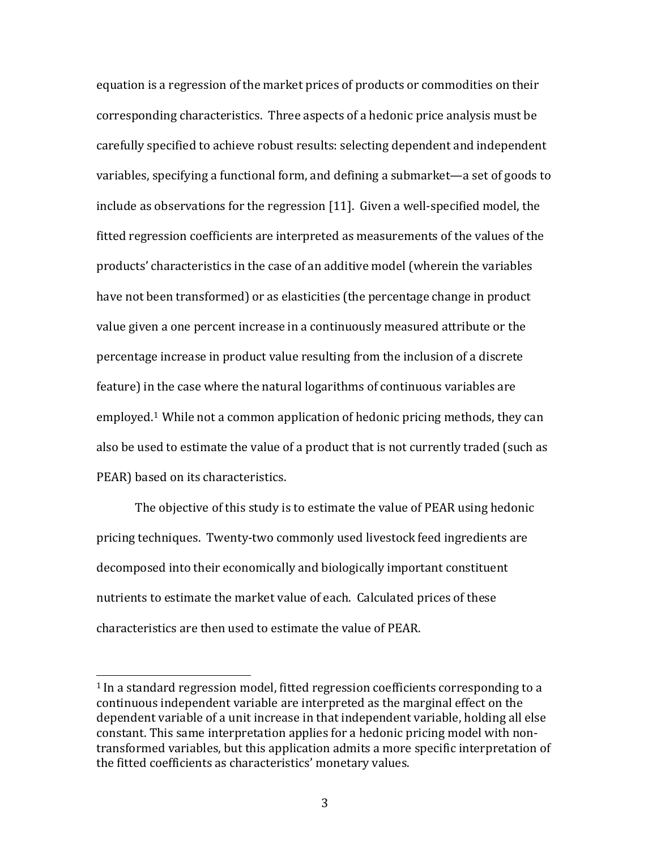equation is a regression of the market prices of products or commodities on their corresponding characteristics. Three aspects of a hedonic price analysis must be carefully specified to achieve robust results: selecting dependent and independent variables, specifying a functional form, and defining a submarket—a set of goods to include as observations for the regression [11]. Given a well‐specified model, the fitted regression coefficients are interpreted as measurements of the values of the products' characteristics in the case of an additive model (wherein the variables have not been transformed) or as elasticities (the percentage change in product value given a one percent increase in a continuously measured attribute or the percentage increase in product value resulting from the inclusion of a discrete feature) in the case where the natural logarithms of continuous variables are employed.1 While not a common application of hedonic pricing methods, they can also be used to estimate the value of a product that is not currently traded (such as PEAR) based on its characteristics.

The objective of this study is to estimate the value of PEAR using hedonic pricing techniques. Twenty‐two commonly used livestock feed ingredients are decomposed into their economically and biologically important constituent nutrients to estimate the market value of each. Calculated prices of these characteristics are then used to estimate the value of PEAR.

<sup>1</sup> In a standard regression model, fitted regression coefficients corresponding to a continuous independent variable are interpreted as the marginal effect on the dependent variable of a unit increase in that independent variable, holding all else constant. This same interpretation applies for a hedonic pricing model with non‐ transformed variables, but this application admits a more specific interpretation of the fitted coefficients as characteristics' monetary values.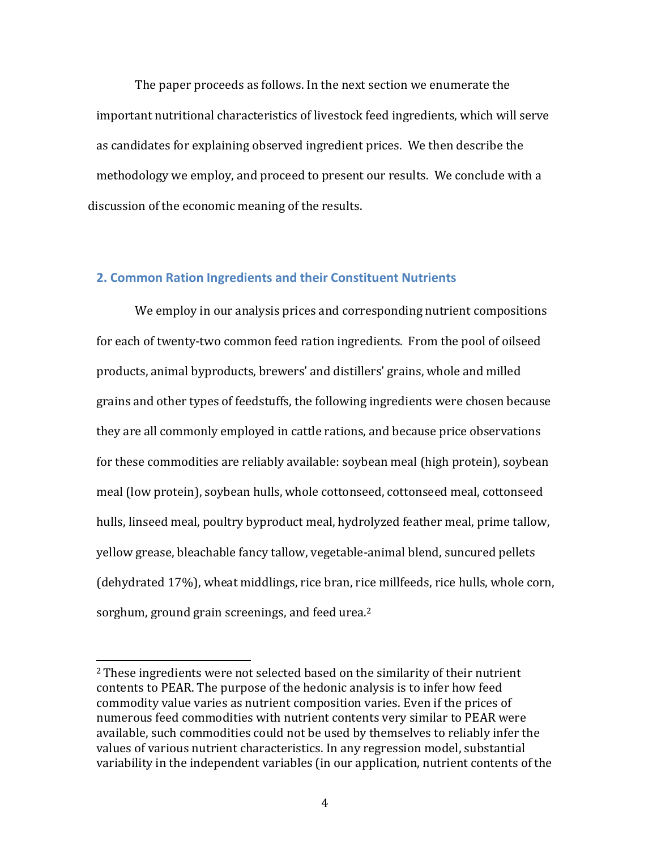The paper proceeds as follows. In the next section we enumerate the important nutritional characteristics of livestock feed ingredients, which will serve as candidates for explaining observed ingredient prices. We then describe the methodology we employ, and proceed to present our results. We conclude with a discussion of the economic meaning of the results.

# **2. Common Ration Ingredients and their Constituent Nutrients**

We employ in our analysis prices and corresponding nutrient compositions for each of twenty-two common feed ration ingredients. From the pool of oilseed products, animal byproducts, brewers' and distillers' grains, whole and milled grains and other types of feedstuffs, the following ingredients were chosen because they are all commonly employed in cattle rations, and because price observations for these commodities are reliably available: soybean meal (high protein), soybean meal (low protein), soybean hulls, whole cottonseed, cottonseed meal, cottonseed hulls, linseed meal, poultry byproduct meal, hydrolyzed feather meal, prime tallow, yellow grease, bleachable fancy tallow, vegetable‐animal blend, suncured pellets (dehydrated 17%), wheat middlings, rice bran, rice millfeeds, rice hulls, whole corn, sorghum, ground grain screenings, and feed urea.<sup>2</sup>

<sup>&</sup>lt;sup>2</sup> These ingredients were not selected based on the similarity of their nutrient contents to PEAR. The purpose of the hedonic analysis is to infer how feed commodity value varies as nutrient composition varies. Even if the prices of numerous feed commodities with nutrient contents very similar to PEAR were available, such commodities could not be used by themselves to reliably infer the values of various nutrient characteristics. In any regression model, substantial variability in the independent variables (in our application, nutrient contents of the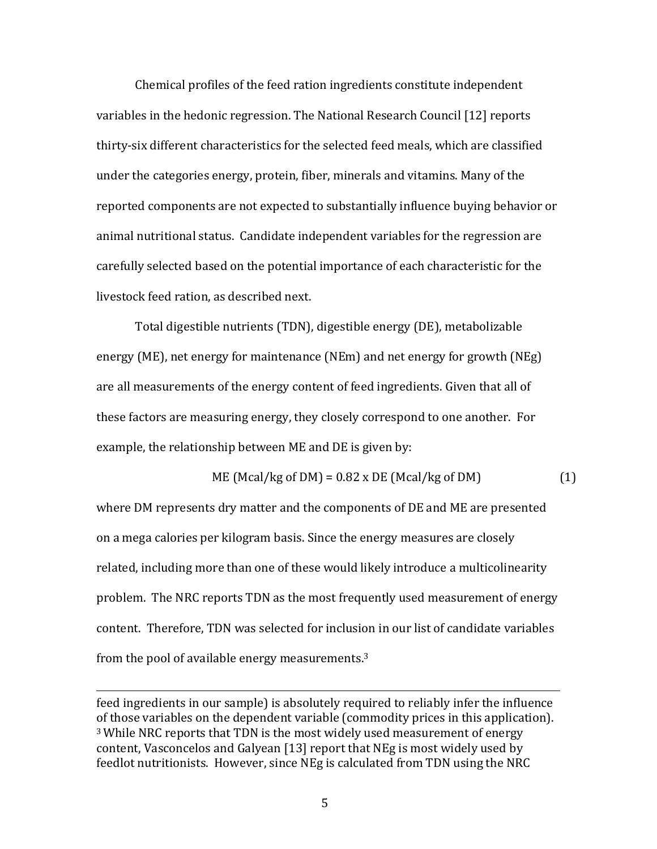Chemical profiles of the feed ration ingredients constitute independent variables in the hedonic regression. The National Research Council [12] reports thirty‐six different characteristics for the selected feed meals, which are classified under the categories energy, protein, fiber, minerals and vitamins. Many of the reported components are not expected to substantially influence buying behavior or animal nutritional status. Candidate independent variables for the regression are carefully selected based on the potential importance of each characteristic for the livestock feed ration, as described next.

Total digestible nutrients (TDN), digestible energy (DE), metabolizable energy (ME), net energy for maintenance (NEm) and net energy for growth (NEg) are all measurements of the energy content of feed ingredients. Given that all of these factors are measuring energy, they closely correspond to one another. For example, the relationship between ME and DE is given by:

ME (Mcal/kg of DM) = 0.82 x DE (Mcal/kg of DM) 
$$
(1)
$$

where DM represents dry matter and the components of DE and ME are presented on a mega calories per kilogram basis. Since the energy measures are closely related, including more than one of these would likely introduce a multicolinearity problem. The NRC reports TDN as the most frequently used measurement of energy content. Therefore, TDN was selected for inclusion in our list of candidate variables from the pool of available energy measurements.3

feed ingredients in our sample) is absolutely required to reliably infer the influence of those variables on the dependent variable (commodity prices in this application). <sup>3</sup> While NRC reports that TDN is the most widely used measurement of energy content, Vasconcelos and Galyean [13] report that NEg is most widely used by feedlot nutritionists. However, since NEg is calculated from TDN using the NRC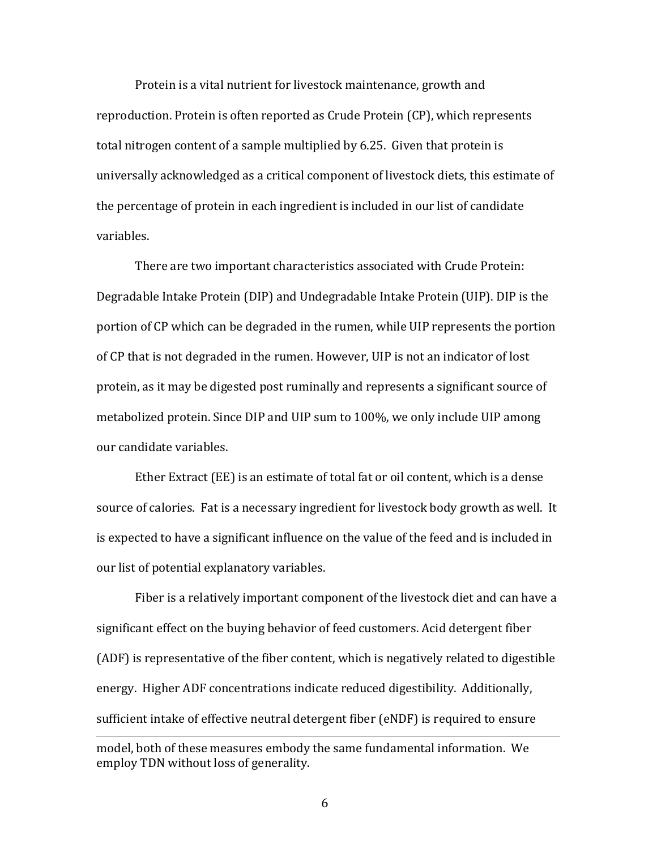Protein is a vital nutrient for livestock maintenance, growth and reproduction. Protein is often reported as Crude Protein (CP), which represents total nitrogen content of a sample multiplied by 6.25. Given that protein is universally acknowledged as a critical component of livestock diets, this estimate of the percentage of protein in each ingredient is included in our list of candidate variables.

There are two important characteristics associated with Crude Protein: Degradable Intake Protein (DIP) and Undegradable Intake Protein (UIP). DIP is the portion of CP which can be degraded in the rumen, while UIP represents the portion of CP that is not degraded in the rumen. However, UIP is not an indicator of lost protein, as it may be digested post ruminally and represents a significant source of metabolized protein. Since DIP and UIP sum to 100%, we only include UIP among our candidate variables.

Ether Extract (EE) is an estimate of total fat or oil content, which is a dense source of calories. Fat is a necessary ingredient for livestock body growth as well. It is expected to have a significant influence on the value of the feed and is included in our list of potential explanatory variables.

Fiber is a relatively important component of the livestock diet and can have a significant effect on the buying behavior of feed customers. Acid detergent fiber (ADF) is representative of the fiber content, which is negatively related to digestible energy. Higher ADF concentrations indicate reduced digestibility. Additionally, sufficient intake of effective neutral detergent fiber (eNDF) is required to ensure

model, both of these measures embody the same fundamental information. We employ TDN without loss of generality.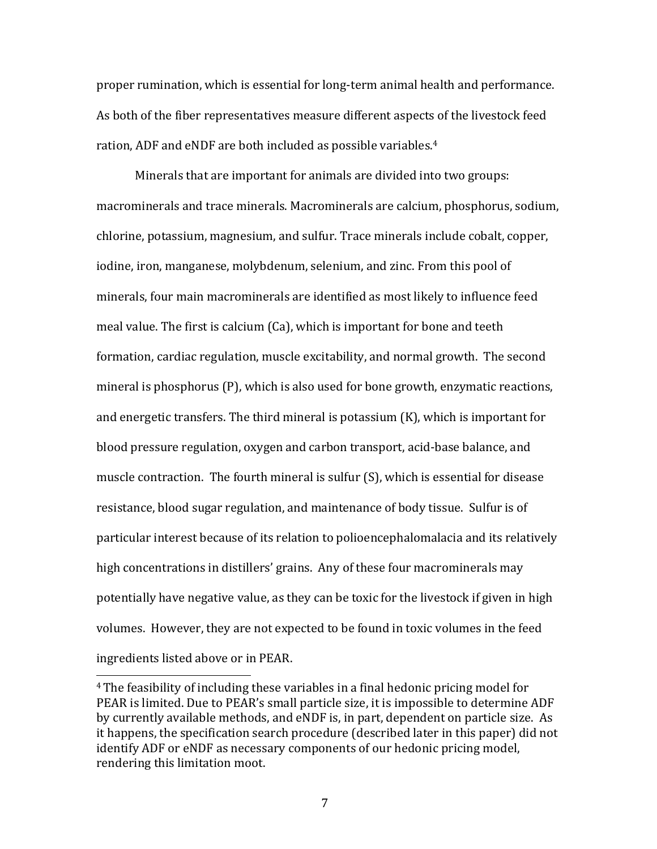proper rumination, which is essential for long‐term animal health and performance. As both of the fiber representatives measure different aspects of the livestock feed ration, ADF and eNDF are both included as possible variables.4

Minerals that are important for animals are divided into two groups: macrominerals and trace minerals. Macrominerals are calcium, phosphorus, sodium, chlorine, potassium, magnesium, and sulfur. Trace minerals include cobalt, copper, iodine, iron, manganese, molybdenum, selenium, and zinc. From this pool of minerals, four main macrominerals are identified as most likely to influence feed meal value. The first is calcium (Ca), which is important for bone and teeth formation, cardiac regulation, muscle excitability, and normal growth. The second mineral is phosphorus (P), which is also used for bone growth, enzymatic reactions, and energetic transfers. The third mineral is potassium (K), which is important for blood pressure regulation, oxygen and carbon transport, acid‐base balance, and muscle contraction. The fourth mineral is sulfur (S), which is essential for disease resistance, blood sugar regulation, and maintenance of body tissue. Sulfur is of particular interest because of its relation to polioencephalomalacia and its relatively high concentrations in distillers' grains. Any of these four macrominerals may potentially have negative value, as they can be toxic for the livestock if given in high volumes. However, they are not expected to be found in toxic volumes in the feed ingredients listed above or in PEAR.

<sup>4</sup> The feasibility of including these variables in a final hedonic pricing model for PEAR is limited. Due to PEAR's small particle size, it is impossible to determine ADF by currently available methods, and eNDF is, in part, dependent on particle size. As it happens, the specification search procedure (described later in this paper) did not identify ADF or eNDF as necessary components of our hedonic pricing model, rendering this limitation moot.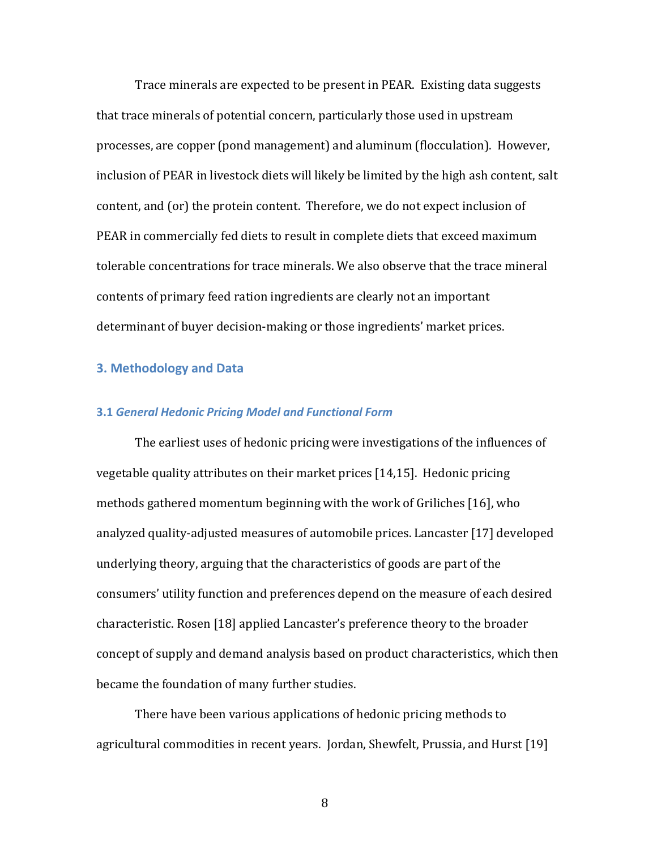Trace minerals are expected to be present in PEAR. Existing data suggests that trace minerals of potential concern, particularly those used in upstream processes, are copper (pond management) and aluminum (flocculation). However, inclusion of PEAR in livestock diets will likely be limited by the high ash content, salt content, and (or) the protein content. Therefore, we do not expect inclusion of PEAR in commercially fed diets to result in complete diets that exceed maximum tolerable concentrations for trace minerals. We also observe that the trace mineral contents of primary feed ration ingredients are clearly not an important determinant of buyer decision‐making or those ingredients' market prices.

# **3. Methodology and Data**

#### **3.1** *General Hedonic Pricing Model and Functional Form*

The earliest uses of hedonic pricing were investigations of the influences of vegetable quality attributes on their market prices [14,15]. Hedonic pricing methods gathered momentum beginning with the work of Griliches [16], who analyzed quality‐adjusted measures of automobile prices. Lancaster [17] developed underlying theory, arguing that the characteristics of goods are part of the consumers' utility function and preferences depend on the measure of each desired characteristic. Rosen [18] applied Lancaster's preference theory to the broader concept of supply and demand analysis based on product characteristics, which then became the foundation of many further studies.

There have been various applications of hedonic pricing methods to agricultural commodities in recent years. Jordan, Shewfelt, Prussia, and Hurst [19]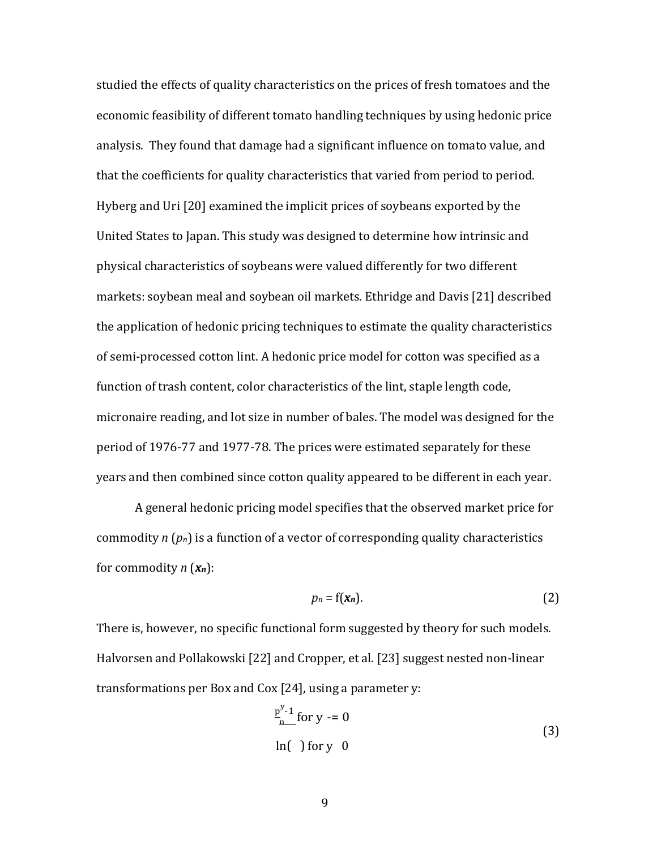studied the effects of quality characteristics on the prices of fresh tomatoes and the economic feasibility of different tomato handling techniques by using hedonic price analysis. They found that damage had a significant influence on tomato value, and that the coefficients for quality characteristics that varied from period to period. Hyberg and Uri [20] examined the implicit prices of soybeans exported by the United States to Japan. This study was designed to determine how intrinsic and physical characteristics of soybeans were valued differently for two different markets: soybean meal and soybean oil markets. Ethridge and Davis [21] described the application of hedonic pricing techniques to estimate the quality characteristics of semi‐processed cotton lint. A hedonic price model for cotton was specified as a function of trash content, color characteristics of the lint, staple length code, micronaire reading, and lot size in number of bales. The model was designed for the period of 1976‐77 and 1977‐78. The prices were estimated separately for these years and then combined since cotton quality appeared to be different in each year.

A general hedonic pricing model specifies that the observed market price for commodity *n* (*pn*) is a function of a vector of corresponding quality characteristics for commodity *n* (*xn*):

$$
p_n = f(\mathbf{x}_n). \tag{2}
$$

There is, however, no specific functional form suggested by theory for such models. Halvorsen and Pollakowski [22] and Cropper, et al. [23] suggest nested non‐linear transformations per Box and Cox [24], using a parameter y:

$$
\frac{p^{y-1}}{n} \text{for } y = 0
$$
\n
$$
\ln(\ ) \text{for } y \neq 0 \tag{3}
$$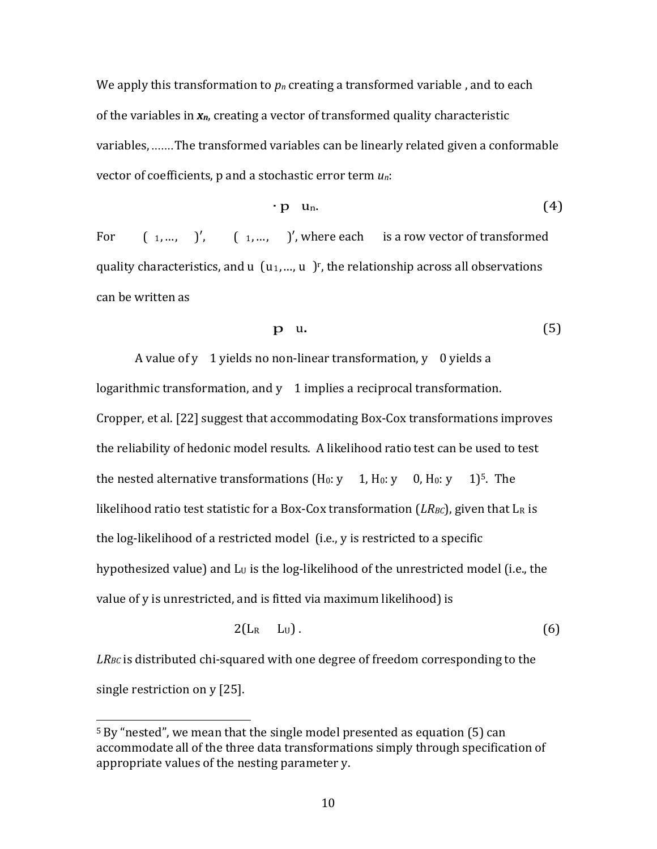We apply this transformation to  $p_n$  creating a transformed variable, and to each of the variables in *xn*, creating a vector of transformed quality characteristic variables, .......The transformed variables can be linearly related given a conformable vector of coefficients, p and a stochastic error term *un*:

$$
\cdot p \quad u_n. \tag{4}
$$

For  $\begin{pmatrix} 1, ..., \end{pmatrix}$ ,  $\begin{pmatrix} 1, ..., \end{pmatrix}$ , where each is a row vector of transformed quality characteristics, and  $u$   $(u_1,...,u)$  ", the relationship across all observations can be written as

$$
p \quad u. \tag{5}
$$

A value of y 1 yields no non-linear transformation, y 0 yields a logarithmic transformation, and y 1 implies a reciprocal transformation. Cropper, et al. [22] suggest that accommodating Box‐Cox transformations improves the reliability of hedonic model results. A likelihood ratio test can be used to test the nested alternative transformations  $(H_0: v \t I, H_0: v \t 0, H_0: v \t 1)^5$ . The likelihood ratio test statistic for a Box-Cox transformation  $(LR_{BC})$ , given that  $L_R$  is the log‐likelihood of a restricted model (i.e., y is restricted to a specific hypothesized value) and  $L<sub>U</sub>$  is the log-likelihood of the unrestricted model (i.e., the value of y is unrestricted, and is fitted via maximum likelihood) is

$$
2(L_R L_U). \t\t(6)
$$

*LRBC* is distributed chi‐squared with one degree of freedom corresponding to the single restriction on y [25].

<sup>5</sup> By "nested", we mean that the single model presented as equation (5) can accommodate all of the three data transformations simply through specification of appropriate values of the nesting parameter y.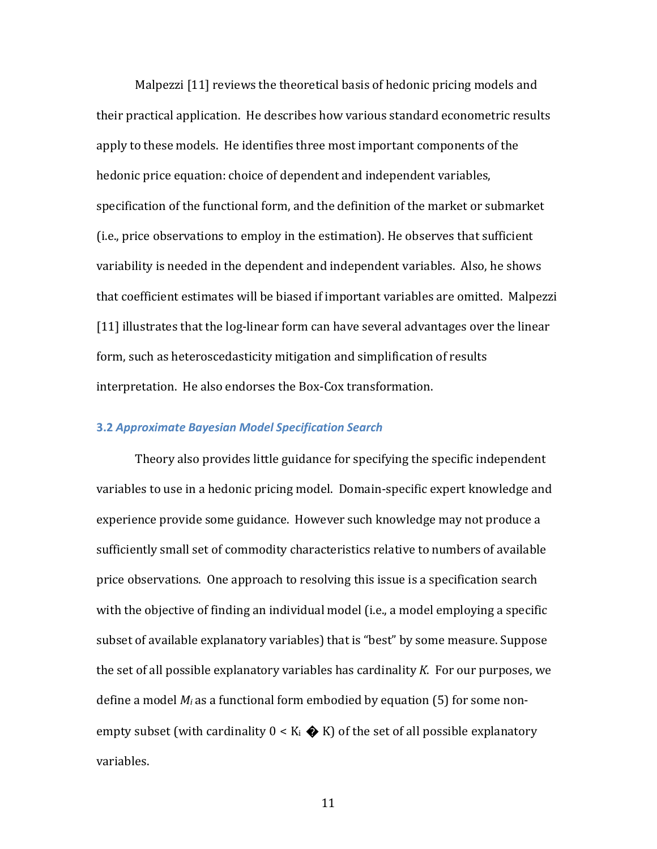Malpezzi [11] reviews the theoretical basis of hedonic pricing models and their practical application. He describes how various standard econometric results apply to these models. He identifies three most important components of the hedonic price equation: choice of dependent and independent variables, specification of the functional form, and the definition of the market or submarket (i.e., price observations to employ in the estimation). He observes that sufficient variability is needed in the dependent and independent variables. Also, he shows that coefficient estimates will be biased if important variables are omitted. Malpezzi [11] illustrates that the log-linear form can have several advantages over the linear form, such as heteroscedasticity mitigation and simplification of results interpretation. He also endorses the Box‐Cox transformation.

## **3.2** *Approximate Bayesian Model Specification Search*

Theory also provides little guidance for specifying the specific independent variables to use in a hedonic pricing model. Domain‐specific expert knowledge and experience provide some guidance. However such knowledge may not produce a sufficiently small set of commodity characteristics relative to numbers of available price observations. One approach to resolving this issue is a specification search with the objective of finding an individual model (i.e., a model employing a specific subset of available explanatory variables) that is "best" by some measure. Suppose the set of all possible explanatory variables has cardinality *K*. For our purposes, we define a model *Mi* as a functional form embodied by equation (5) for some non‐ empty subset (with cardinality  $0 < K_i \oplus K$ ) of the set of all possible explanatory variables.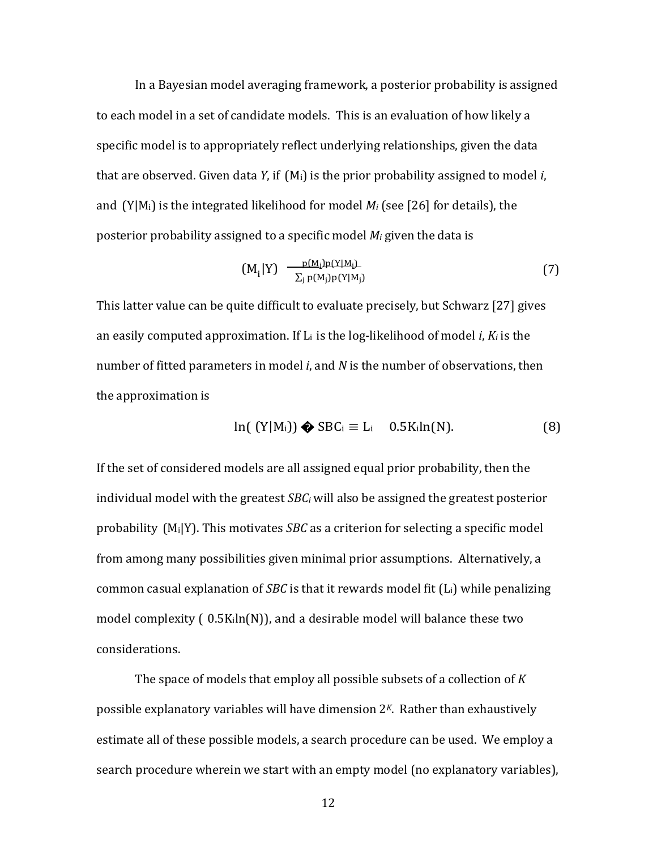In a Bayesian model averaging framework, a posterior probability is assigned to each model in a set of candidate models. This is an evaluation of how likely a specific model is to appropriately reflect underlying relationships, given the data that are observed. Given data *Y*, if (Mi) is the prior probability assigned to model *i*, and  $(Y|M_i)$  is the integrated likelihood for model  $M_i$  (see [26] for details), the posterior probability assigned to a specific model *Mi* given the data is

$$
(M_i|Y) \frac{p(M_i)p(Y|M_i)}{\sum_j p(M_j)p(Y|M_j)}
$$
\n(7)

This latter value can be quite difficult to evaluate precisely, but Schwarz [27] gives an easily computed approximation. If Li is the log‐likelihood of model *i*, *Ki* is the number of fitted parameters in model *i*, and *N* is the number of observations, then the approximation is

$$
\ln([Y|M_i]) \bigotimes \text{SBC}_i \equiv L_i \quad 0.5 \text{K}_i \ln(N). \tag{8}
$$

If the set of considered models are all assigned equal prior probability, then the individual model with the greatest *SBCi* will also be assigned the greatest posterior probability (Mi|Y). This motivates *SBC* as a criterion for selecting a specific model from among many possibilities given minimal prior assumptions. Alternatively, a common casual explanation of *SBC* is that it rewards model fit (Li) while penalizing model complexity ( 0.5Kiln(N)), and a desirable model will balance these two considerations.

The space of models that employ all possible subsets of a collection of *K* possible explanatory variables will have dimension 2*<sup>K</sup>*. Rather than exhaustively estimate all of these possible models, a search procedure can be used. We employ a search procedure wherein we start with an empty model (no explanatory variables),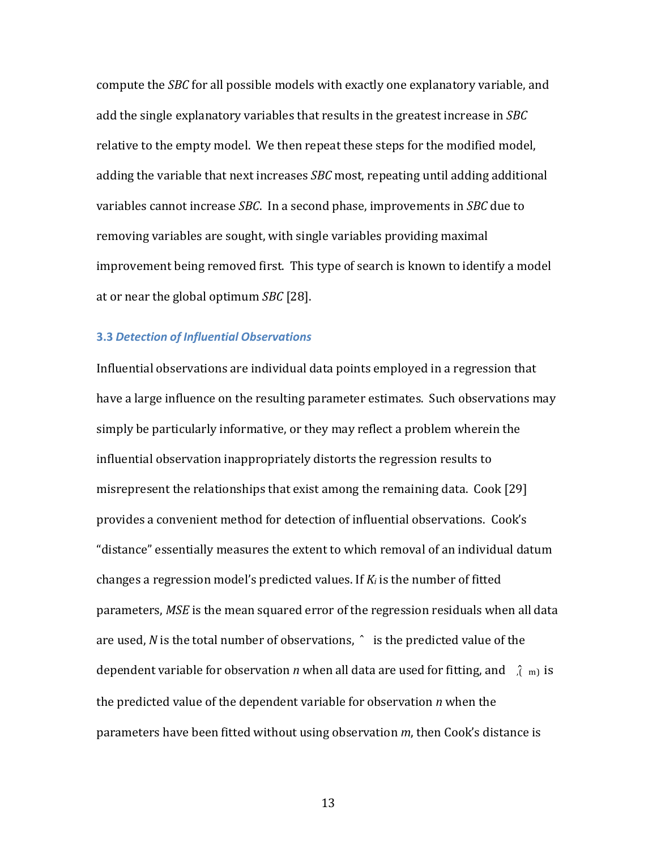compute the *SBC* for all possible models with exactly one explanatory variable, and add the single explanatory variables that results in the greatest increase in *SBC* relative to the empty model. We then repeat these steps for the modified model, adding the variable that next increases *SBC* most, repeating until adding additional variables cannot increase *SBC*. In a second phase, improvements in *SBC* due to removing variables are sought, with single variables providing maximal improvement being removed first. This type of search is known to identify a model at or near the global optimum *SBC* [28].

#### **3.3** *Detection of Influential Observations*

Influential observations are individual data points employed in a regression that have a large influence on the resulting parameter estimates. Such observations may simply be particularly informative, or they may reflect a problem wherein the influential observation inappropriately distorts the regression results to misrepresent the relationships that exist among the remaining data. Cook [29] provides a convenient method for detection of influential observations. Cook's "distance" essentially measures the extent to which removal of an individual datum changes a regression model's predicted values. If *Ki* is the number of fitted parameters, *MSE* is the mean squared error of the regression residuals when all data are used, *N* is the total number of observations, ̂ is the predicted value of the dependent variable for observation *n* when all data are used for fitting, and  $\hat{f}$  m is the predicted value of the dependent variable for observation *n* when the parameters have been fitted without using observation *m*, then Cook's distance is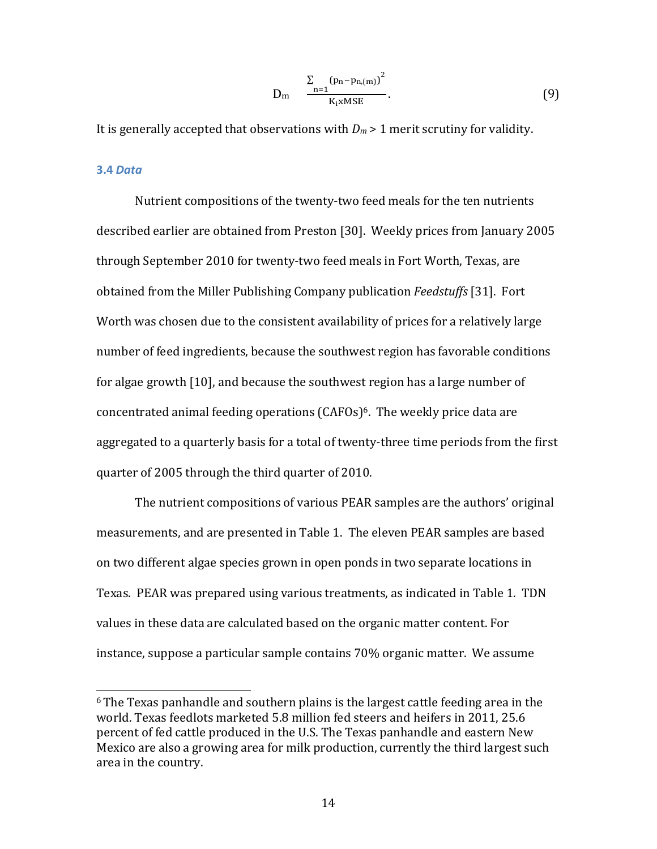$$
D_m \quad \frac{\sum_{n=1}^{N} (p_n - p_{n,(m)})^2}{K_i x MSE}.
$$
\n(9)

It is generally accepted that observations with  $D_m$  > 1 merit scrutiny for validity.

#### **3.4** *Data*

Nutrient compositions of the twenty‐two feed meals for the ten nutrients described earlier are obtained from Preston [30]. Weekly prices from January 2005 through September 2010 for twenty‐two feed meals in Fort Worth, Texas, are obtained from the Miller Publishing Company publication *Feedstuffs* [31]. Fort Worth was chosen due to the consistent availability of prices for a relatively large number of feed ingredients, because the southwest region has favorable conditions for algae growth [10], and because the southwest region has a large number of concentrated animal feeding operations (CAFOs)<sup>6</sup>. The weekly price data are aggregated to a quarterly basis for a total of twenty‐three time periods from the first quarter of 2005 through the third quarter of 2010.

The nutrient compositions of various PEAR samples are the authors' original measurements, and are presented in Table 1. The eleven PEAR samples are based on two different algae species grown in open ponds in two separate locations in Texas. PEAR was prepared using various treatments, as indicated in Table 1. TDN values in these data are calculated based on the organic matter content. For instance, suppose a particular sample contains 70% organic matter. We assume

<sup>6</sup> The Texas panhandle and southern plains is the largest cattle feeding area in the world. Texas feedlots marketed 5.8 million fed steers and heifers in 2011, 25.6 percent of fed cattle produced in the U.S. The Texas panhandle and eastern New Mexico are also a growing area for milk production, currently the third largest such area in the country.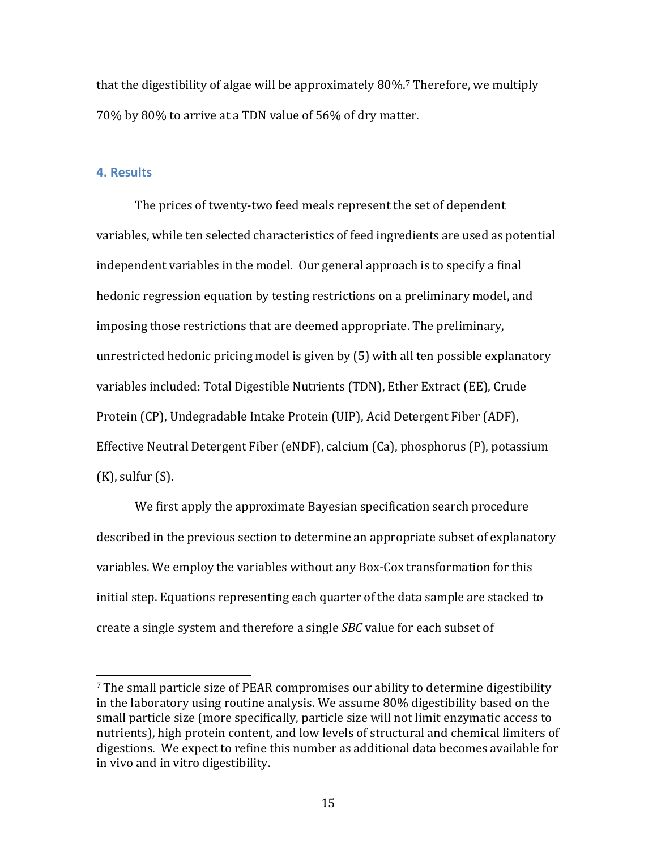that the digestibility of algae will be approximately 80%.7 Therefore, we multiply 70% by 80% to arrive at a TDN value of 56% of dry matter.

# **4. Results**

The prices of twenty-two feed meals represent the set of dependent variables, while ten selected characteristics of feed ingredients are used as potential independent variables in the model. Our general approach is to specify a final hedonic regression equation by testing restrictions on a preliminary model, and imposing those restrictions that are deemed appropriate. The preliminary, unrestricted hedonic pricing model is given by (5) with all ten possible explanatory variables included: Total Digestible Nutrients (TDN), Ether Extract (EE), Crude Protein (CP), Undegradable Intake Protein (UIP), Acid Detergent Fiber (ADF), Effective Neutral Detergent Fiber (eNDF), calcium (Ca), phosphorus (P), potassium  $(K)$ , sulfur  $(S)$ .

We first apply the approximate Bayesian specification search procedure described in the previous section to determine an appropriate subset of explanatory variables. We employ the variables without any Box‐Cox transformation for this initial step. Equations representing each quarter of the data sample are stacked to create a single system and therefore a single *SBC* value for each subset of

<sup>7</sup> The small particle size of PEAR compromises our ability to determine digestibility in the laboratory using routine analysis. We assume 80% digestibility based on the small particle size (more specifically, particle size will not limit enzymatic access to nutrients), high protein content, and low levels of structural and chemical limiters of digestions. We expect to refine this number as additional data becomes available for in vivo and in vitro digestibility.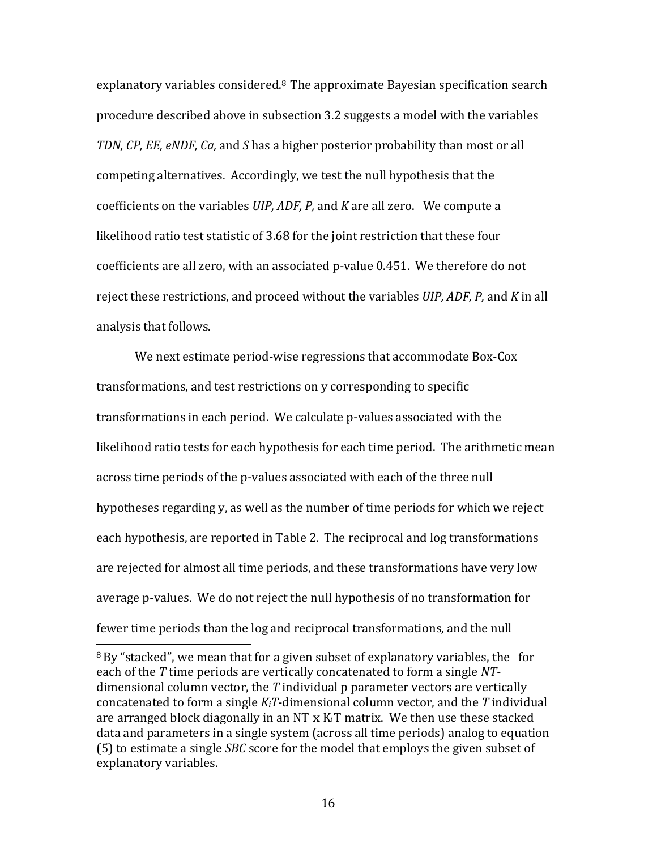explanatory variables considered.8 The approximate Bayesian specification search procedure described above in subsection 3.2 suggests a model with the variables *TDN, CP, EE, eNDF, Ca,* and *S* has a higher posterior probability than most or all competing alternatives. Accordingly, we test the null hypothesis that the coefficients on the variables *UIP, ADF, P,* and *K* are all zero. We compute a likelihood ratio test statistic of 3.68 for the joint restriction that these four coefficients are all zero, with an associated p-value 0.451. We therefore do not reject these restrictions, and proceed without the variables *UIP, ADF, P,* and *K* in all analysis that follows.

We next estimate period-wise regressions that accommodate Box-Cox transformations, and test restrictions on y corresponding to specific transformations in each period. We calculate p‐values associated with the likelihood ratio tests for each hypothesis for each time period. The arithmetic mean across time periods of the p-values associated with each of the three null hypotheses regarding y, as well as the number of time periods for which we reject each hypothesis, are reported in Table 2. The reciprocal and log transformations are rejected for almost all time periods, and these transformations have very low average p‐values. We do not reject the null hypothesis of no transformation for fewer time periods than the log and reciprocal transformations, and the null

<sup>&</sup>lt;sup>8</sup> By "stacked", we mean that for a given subset of explanatory variables, the for each of the *T* time periods are vertically concatenated to form a single *NT*‐ dimensional column vector, the *T* individual p parameter vectors are vertically concatenated to form a single *KiT*‐dimensional column vector, and the *T* individual are arranged block diagonally in an NT x KiT matrix. We then use these stacked data and parameters in a single system (across all time periods) analog to equation (5) to estimate a single *SBC* score for the model that employs the given subset of explanatory variables.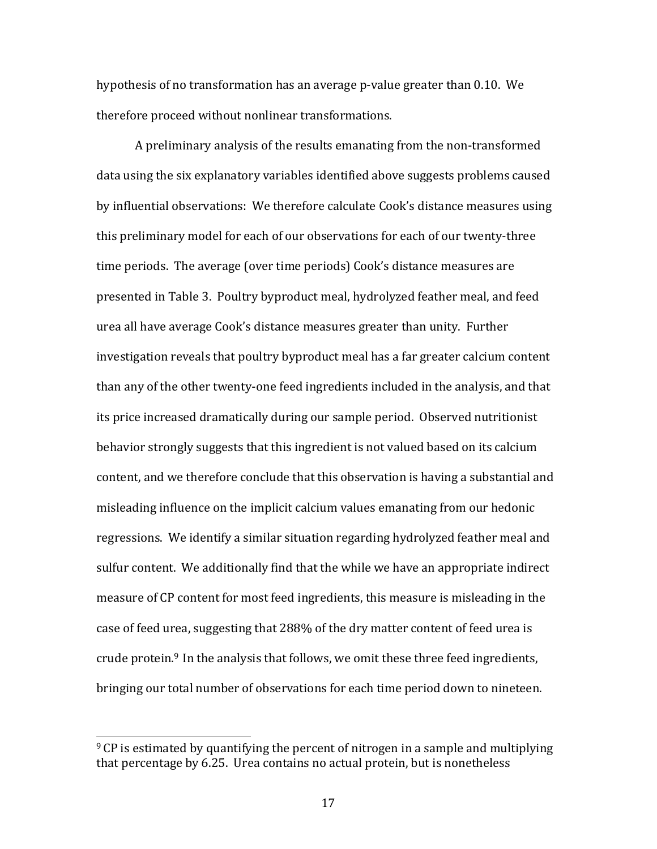hypothesis of no transformation has an average p-value greater than 0.10. We therefore proceed without nonlinear transformations.

A preliminary analysis of the results emanating from the non‐transformed data using the six explanatory variables identified above suggests problems caused by influential observations: We therefore calculate Cook's distance measures using this preliminary model for each of our observations for each of our twenty‐three time periods. The average (over time periods) Cook's distance measures are presented in Table 3. Poultry byproduct meal, hydrolyzed feather meal, and feed urea all have average Cook's distance measures greater than unity. Further investigation reveals that poultry byproduct meal has a far greater calcium content than any of the other twenty‐one feed ingredients included in the analysis, and that its price increased dramatically during our sample period. Observed nutritionist behavior strongly suggests that this ingredient is not valued based on its calcium content, and we therefore conclude that this observation is having a substantial and misleading influence on the implicit calcium values emanating from our hedonic regressions. We identify a similar situation regarding hydrolyzed feather meal and sulfur content. We additionally find that the while we have an appropriate indirect measure of CP content for most feed ingredients, this measure is misleading in the case of feed urea, suggesting that 288% of the dry matter content of feed urea is crude protein.<sup>9</sup> In the analysis that follows, we omit these three feed ingredients, bringing our total number of observations for each time period down to nineteen.

<sup>&</sup>lt;sup>9</sup> CP is estimated by quantifying the percent of nitrogen in a sample and multiplying that percentage by 6.25. Urea contains no actual protein, but is nonetheless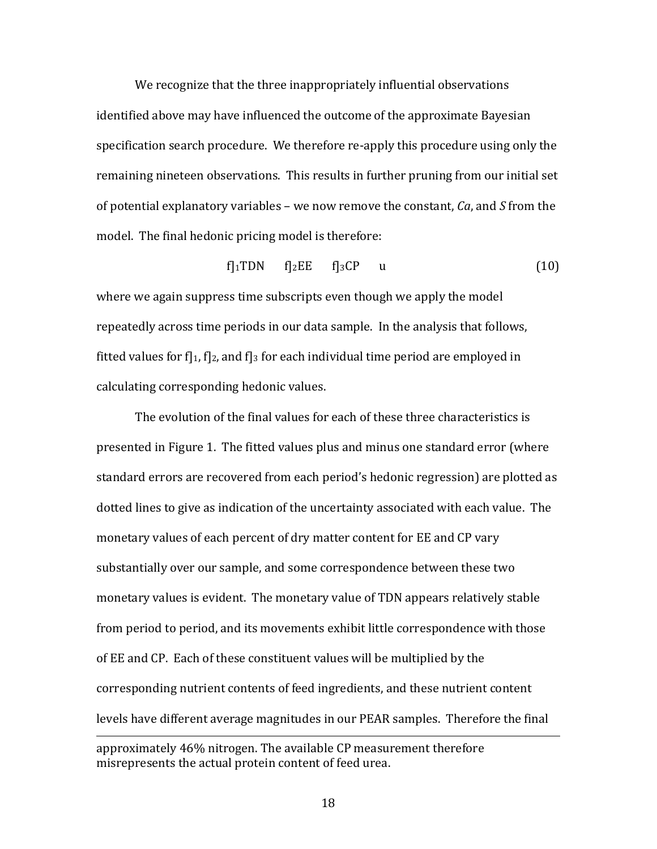We recognize that the three inappropriately influential observations identified above may have influenced the outcome of the approximate Bayesian specification search procedure. We therefore re‐apply this procedure using only the remaining nineteen observations. This results in further pruning from our initial set of potential explanatory variables – we now remove the constant, *Ca*, and *S* from the model. The final hedonic pricing model is therefore:

$$
f]_1 TDN \t f]_2 EE \t f]_3 CP \t u \t (10)
$$

where we again suppress time subscripts even though we apply the model repeatedly across time periods in our data sample. In the analysis that follows, fitted values for f<sub>1</sub>, f<sub>1</sub>, and f<sub>13</sub> for each individual time period are employed in calculating corresponding hedonic values.

The evolution of the final values for each of these three characteristics is presented in Figure 1. The fitted values plus and minus one standard error (where standard errors are recovered from each period's hedonic regression) are plotted as dotted lines to give as indication of the uncertainty associated with each value. The monetary values of each percent of dry matter content for EE and CP vary substantially over our sample, and some correspondence between these two monetary values is evident. The monetary value of TDN appears relatively stable from period to period, and its movements exhibit little correspondence with those of EE and CP. Each of these constituent values will be multiplied by the corresponding nutrient contents of feed ingredients, and these nutrient content levels have different average magnitudes in our PEAR samples. Therefore the final

approximately 46% nitrogen. The available CP measurement therefore misrepresents the actual protein content of feed urea.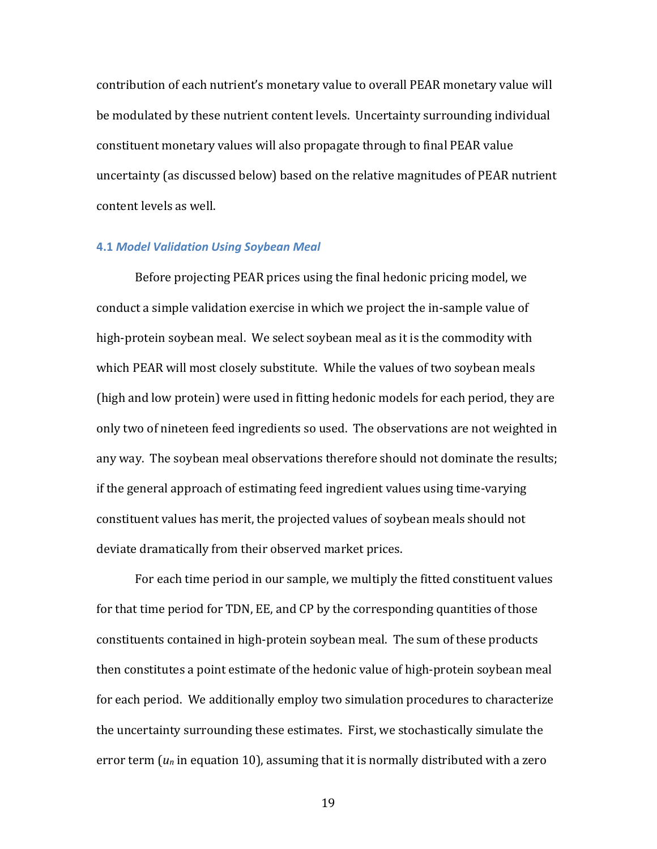contribution of each nutrient's monetary value to overall PEAR monetary value will be modulated by these nutrient content levels. Uncertainty surrounding individual constituent monetary values will also propagate through to final PEAR value uncertainty (as discussed below) based on the relative magnitudes of PEAR nutrient content levels as well.

### **4.1** *Model Validation Using Soybean Meal*

Before projecting PEAR prices using the final hedonic pricing model, we conduct a simple validation exercise in which we project the in‐sample value of high-protein soybean meal. We select soybean meal as it is the commodity with which PEAR will most closely substitute. While the values of two soybean meals (high and low protein) were used in fitting hedonic models for each period, they are only two of nineteen feed ingredients so used. The observations are not weighted in any way. The soybean meal observations therefore should not dominate the results; if the general approach of estimating feed ingredient values using time‐varying constituent values has merit, the projected values of soybean meals should not deviate dramatically from their observed market prices.

For each time period in our sample, we multiply the fitted constituent values for that time period for TDN, EE, and CP by the corresponding quantities of those constituents contained in high‐protein soybean meal. The sum of these products then constitutes a point estimate of the hedonic value of high‐protein soybean meal for each period. We additionally employ two simulation procedures to characterize the uncertainty surrounding these estimates. First, we stochastically simulate the error term (*un* in equation 10), assuming that it is normally distributed with a zero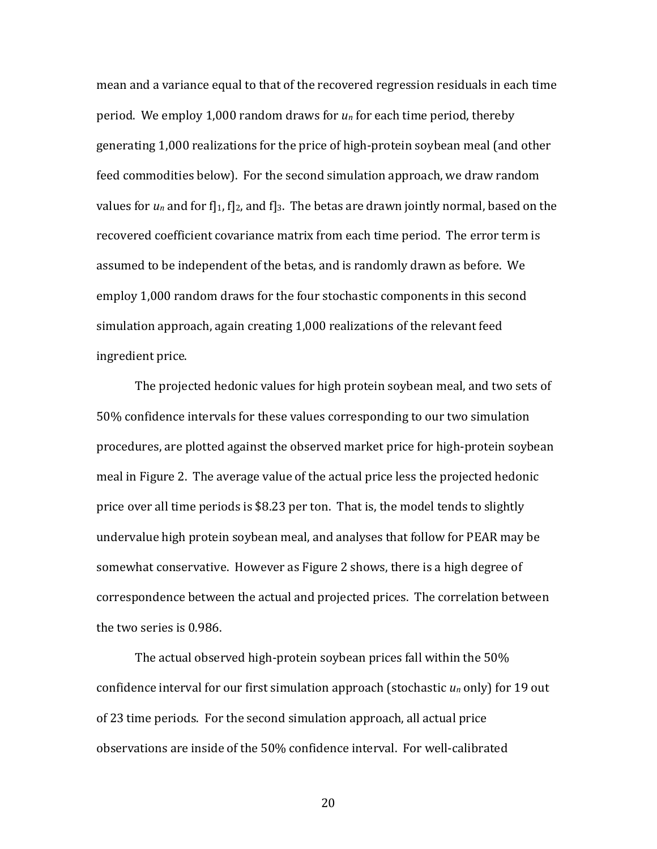mean and a variance equal to that of the recovered regression residuals in each time period. We employ 1,000 random draws for *un* for each time period, thereby generating 1,000 realizations for the price of high‐protein soybean meal (and other feed commodities below). For the second simulation approach, we draw random values for  $u_n$  and for f<sub>1</sub>, f<sub>12</sub>, and f<sub>13</sub>. The betas are drawn jointly normal, based on the recovered coefficient covariance matrix from each time period. The error term is assumed to be independent of the betas, and is randomly drawn as before. We employ 1,000 random draws for the four stochastic components in this second simulation approach, again creating 1,000 realizations of the relevant feed ingredient price.

The projected hedonic values for high protein soybean meal, and two sets of 50% confidence intervals for these values corresponding to our two simulation procedures, are plotted against the observed market price for high‐protein soybean meal in Figure 2. The average value of the actual price less the projected hedonic price over all time periods is \$8.23 per ton. That is, the model tends to slightly undervalue high protein soybean meal, and analyses that follow for PEAR may be somewhat conservative. However as Figure 2 shows, there is a high degree of correspondence between the actual and projected prices. The correlation between the two series is 0.986.

The actual observed high-protein soybean prices fall within the 50% confidence interval for our first simulation approach (stochastic *un* only) for 19 out of 23 time periods. For the second simulation approach, all actual price observations are inside of the 50% confidence interval. For well‐calibrated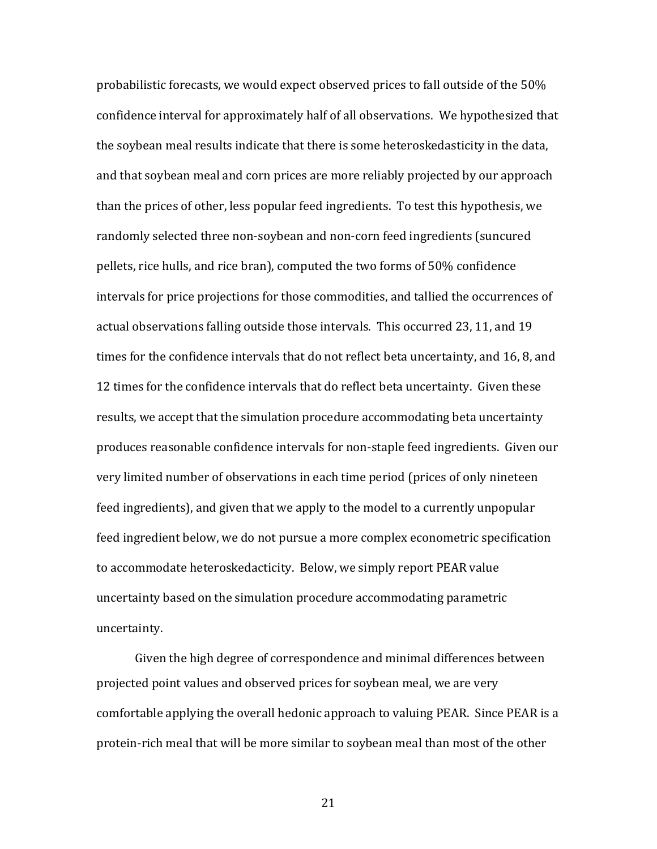probabilistic forecasts, we would expect observed prices to fall outside of the 50% confidence interval for approximately half of all observations. We hypothesized that the soybean meal results indicate that there is some heteroskedasticity in the data, and that soybean meal and corn prices are more reliably projected by our approach than the prices of other, less popular feed ingredients. To test this hypothesis, we randomly selected three non‐soybean and non‐corn feed ingredients (suncured pellets, rice hulls, and rice bran), computed the two forms of 50% confidence intervals for price projections for those commodities, and tallied the occurrences of actual observations falling outside those intervals. This occurred 23, 11, and 19 times for the confidence intervals that do not reflect beta uncertainty, and 16, 8, and 12 times for the confidence intervals that do reflect beta uncertainty. Given these results, we accept that the simulation procedure accommodating beta uncertainty produces reasonable confidence intervals for non‐staple feed ingredients. Given our very limited number of observations in each time period (prices of only nineteen feed ingredients), and given that we apply to the model to a currently unpopular feed ingredient below, we do not pursue a more complex econometric specification to accommodate heteroskedacticity. Below, we simply report PEAR value uncertainty based on the simulation procedure accommodating parametric uncertainty.

Given the high degree of correspondence and minimal differences between projected point values and observed prices for soybean meal, we are very comfortable applying the overall hedonic approach to valuing PEAR. Since PEAR is a protein‐rich meal that will be more similar to soybean meal than most of the other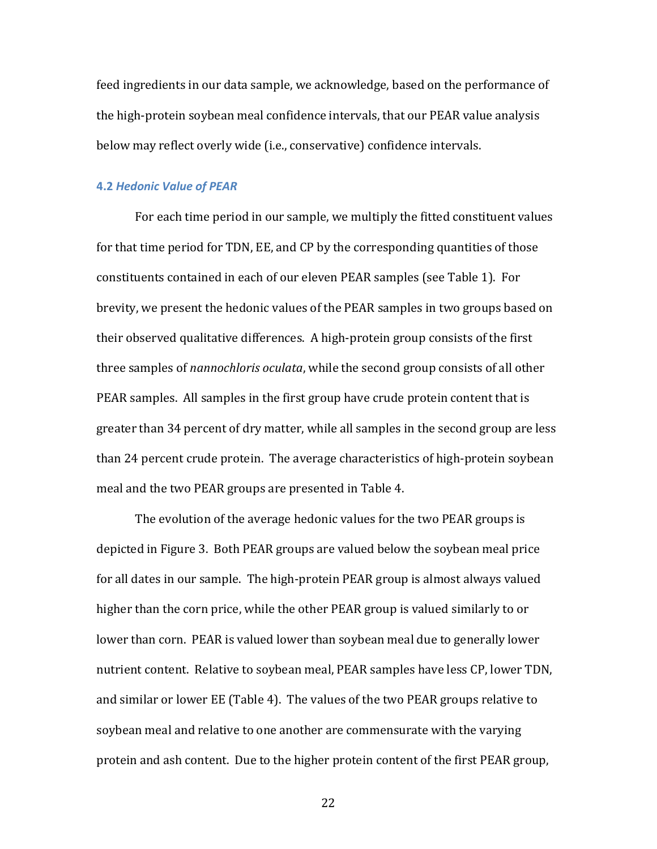feed ingredients in our data sample, we acknowledge, based on the performance of the high‐protein soybean meal confidence intervals, that our PEAR value analysis below may reflect overly wide (i.e., conservative) confidence intervals.

#### **4.2** *Hedonic Value of PEAR*

For each time period in our sample, we multiply the fitted constituent values for that time period for TDN, EE, and CP by the corresponding quantities of those constituents contained in each of our eleven PEAR samples (see Table 1). For brevity, we present the hedonic values of the PEAR samples in two groups based on their observed qualitative differences. A high‐protein group consists of the first three samples of *nannochloris oculata*, while the second group consists of all other PEAR samples. All samples in the first group have crude protein content that is greater than 34 percent of dry matter, while all samples in the second group are less than 24 percent crude protein. The average characteristics of high‐protein soybean meal and the two PEAR groups are presented in Table 4.

The evolution of the average hedonic values for the two PEAR groups is depicted in Figure 3. Both PEAR groups are valued below the soybean meal price for all dates in our sample. The high‐protein PEAR group is almost always valued higher than the corn price, while the other PEAR group is valued similarly to or lower than corn. PEAR is valued lower than soybean meal due to generally lower nutrient content. Relative to soybean meal, PEAR samples have less CP, lower TDN, and similar or lower EE (Table 4). The values of the two PEAR groups relative to soybean meal and relative to one another are commensurate with the varying protein and ash content. Due to the higher protein content of the first PEAR group,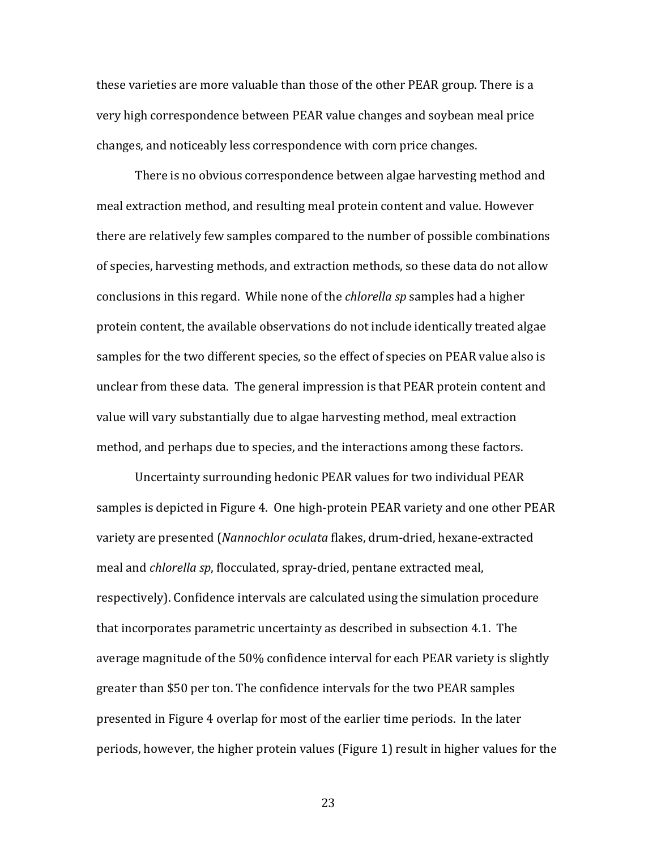these varieties are more valuable than those of the other PEAR group. There is a very high correspondence between PEAR value changes and soybean meal price changes, and noticeably less correspondence with corn price changes.

There is no obvious correspondence between algae harvesting method and meal extraction method, and resulting meal protein content and value. However there are relatively few samples compared to the number of possible combinations of species, harvesting methods, and extraction methods, so these data do not allow conclusions in this regard. While none of the *chlorella sp* samples had a higher protein content, the available observations do not include identically treated algae samples for the two different species, so the effect of species on PEAR value also is unclear from these data. The general impression is that PEAR protein content and value will vary substantially due to algae harvesting method, meal extraction method, and perhaps due to species, and the interactions among these factors.

Uncertainty surrounding hedonic PEAR values for two individual PEAR samples is depicted in Figure 4. One high-protein PEAR variety and one other PEAR variety are presented (*Nannochlor oculata* flakes, drum‐dried, hexane‐extracted meal and *chlorella sp*, flocculated, spray‐dried, pentane extracted meal, respectively). Confidence intervals are calculated using the simulation procedure that incorporates parametric uncertainty as described in subsection 4.1. The average magnitude of the 50% confidence interval for each PEAR variety is slightly greater than \$50 per ton. The confidence intervals for the two PEAR samples presented in Figure 4 overlap for most of the earlier time periods. In the later periods, however, the higher protein values (Figure 1) result in higher values for the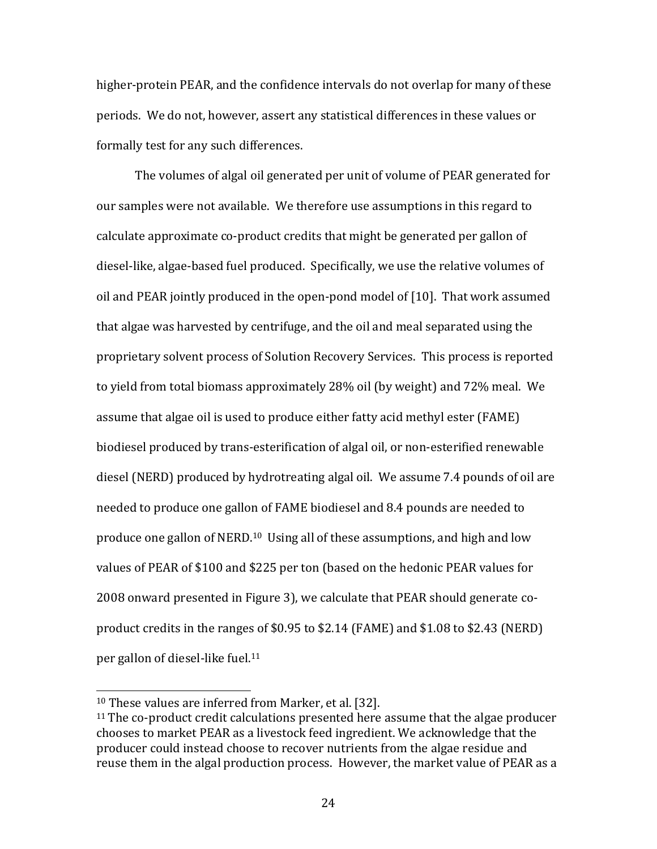higher-protein PEAR, and the confidence intervals do not overlap for many of these periods. We do not, however, assert any statistical differences in these values or formally test for any such differences.

The volumes of algal oil generated per unit of volume of PEAR generated for our samples were not available. We therefore use assumptions in this regard to calculate approximate co‐product credits that might be generated per gallon of diesel‐like, algae‐based fuel produced. Specifically, we use the relative volumes of oil and PEAR jointly produced in the open‐pond model of [10]. That work assumed that algae was harvested by centrifuge, and the oil and meal separated using the proprietary solvent process of Solution Recovery Services. This process is reported to yield from total biomass approximately 28% oil (by weight) and 72% meal. We assume that algae oil is used to produce either fatty acid methyl ester (FAME) biodiesel produced by trans‐esterification of algal oil, or non‐esterified renewable diesel (NERD) produced by hydrotreating algal oil. We assume 7.4 pounds of oil are needed to produce one gallon of FAME biodiesel and 8.4 pounds are needed to produce one gallon of NERD.10 Using all of these assumptions, and high and low values of PEAR of \$100 and \$225 per ton (based on the hedonic PEAR values for 2008 onward presented in Figure 3), we calculate that PEAR should generate co‐ product credits in the ranges of \$0.95 to \$2.14 (FAME) and \$1.08 to \$2.43 (NERD) per gallon of diesel-like fuel.<sup>11</sup>

<sup>10</sup> These values are inferred from Marker, et al. [32].

 $11$  The co-product credit calculations presented here assume that the algae producer chooses to market PEAR as a livestock feed ingredient. We acknowledge that the producer could instead choose to recover nutrients from the algae residue and reuse them in the algal production process. However, the market value of PEAR as a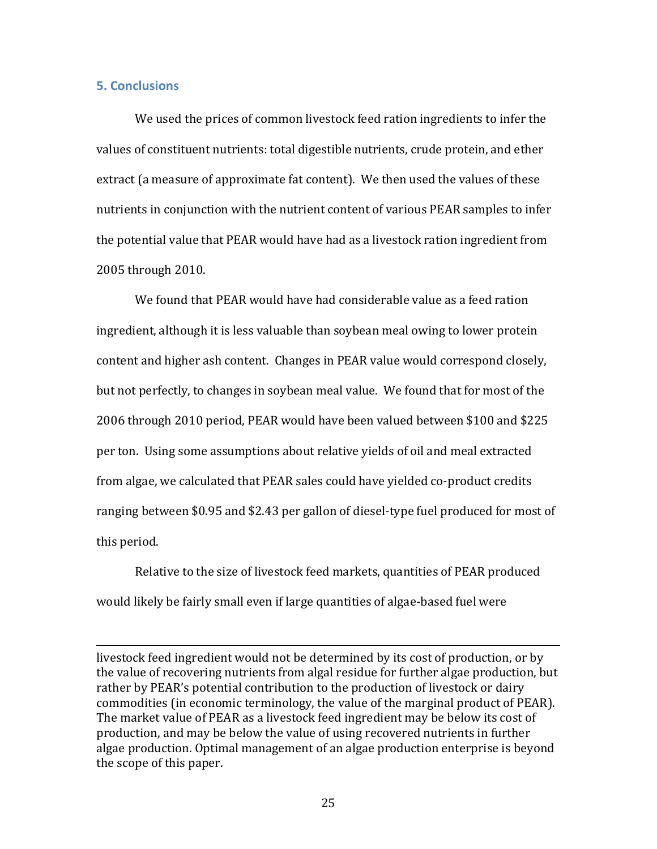## **5. Conclusions**

We used the prices of common livestock feed ration ingredients to infer the values of constituent nutrients: total digestible nutrients, crude protein, and ether extract (a measure of approximate fat content). We then used the values of these nutrients in conjunction with the nutrient content of various PEAR samples to infer the potential value that PEAR would have had as a livestock ration ingredient from 2005 through 2010.

We found that PEAR would have had considerable value as a feed ration ingredient, although it is less valuable than soybean meal owing to lower protein content and higher ash content. Changes in PEAR value would correspond closely, but not perfectly, to changes in soybean meal value. We found that for most of the 2006 through 2010 period, PEAR would have been valued between \$100 and \$225 per ton. Using some assumptions about relative yields of oil and meal extracted from algae, we calculated that PEAR sales could have yielded co-product credits ranging between \$0.95 and \$2.43 per gallon of diesel‐type fuel produced for most of this period.

Relative to the size of livestock feed markets, quantities of PEAR produced would likely be fairly small even if large quantities of algae‐based fuel were

livestock feed ingredient would not be determined by its cost of production, or by the value of recovering nutrients from algal residue for further algae production, but rather by PEAR's potential contribution to the production of livestock or dairy commodities (in economic terminology, the value of the marginal product of PEAR). The market value of PEAR as a livestock feed ingredient may be below its cost of production, and may be below the value of using recovered nutrients in further algae production. Optimal management of an algae production enterprise is beyond the scope of this paper.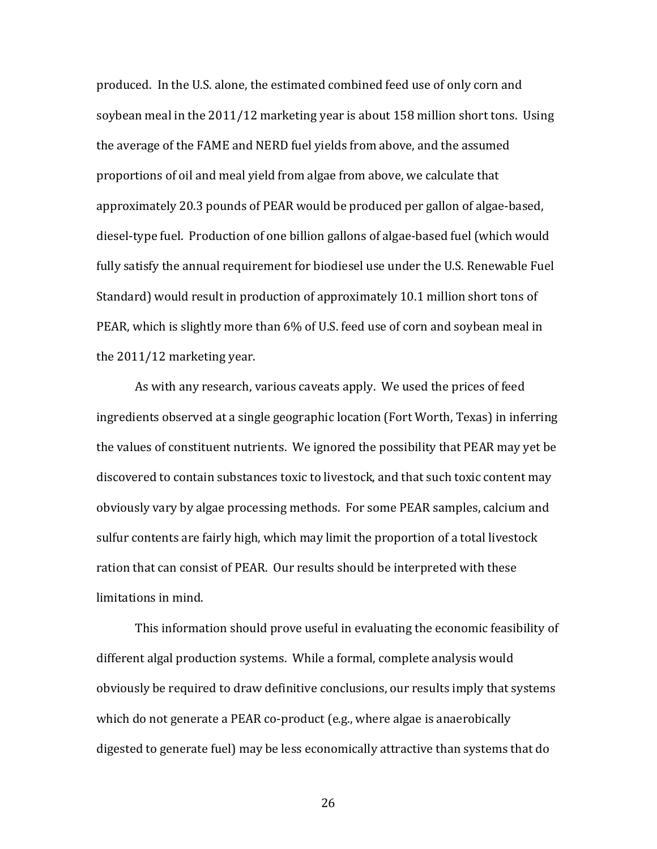produced. In the U.S. alone, the estimated combined feed use of only corn and soybean meal in the 2011/12 marketing year is about 158 million short tons. Using the average of the FAME and NERD fuel yields from above, and the assumed proportions of oil and meal yield from algae from above, we calculate that approximately 20.3 pounds of PEAR would be produced per gallon of algae‐based, diesel‐type fuel. Production of one billion gallons of algae‐based fuel (which would fully satisfy the annual requirement for biodiesel use under the U.S. Renewable Fuel Standard) would result in production of approximately 10.1 million short tons of PEAR, which is slightly more than 6% of U.S. feed use of corn and soybean meal in the 2011/12 marketing year.

As with any research, various caveats apply. We used the prices of feed ingredients observed at a single geographic location (Fort Worth, Texas) in inferring the values of constituent nutrients. We ignored the possibility that PEAR may yet be discovered to contain substances toxic to livestock, and that such toxic content may obviously vary by algae processing methods. For some PEAR samples, calcium and sulfur contents are fairly high, which may limit the proportion of a total livestock ration that can consist of PEAR. Our results should be interpreted with these limitations in mind.

This information should prove useful in evaluating the economic feasibility of different algal production systems. While a formal, complete analysis would obviously be required to draw definitive conclusions, our results imply that systems which do not generate a PEAR co-product (e.g., where algae is anaerobically digested to generate fuel) may be less economically attractive than systems that do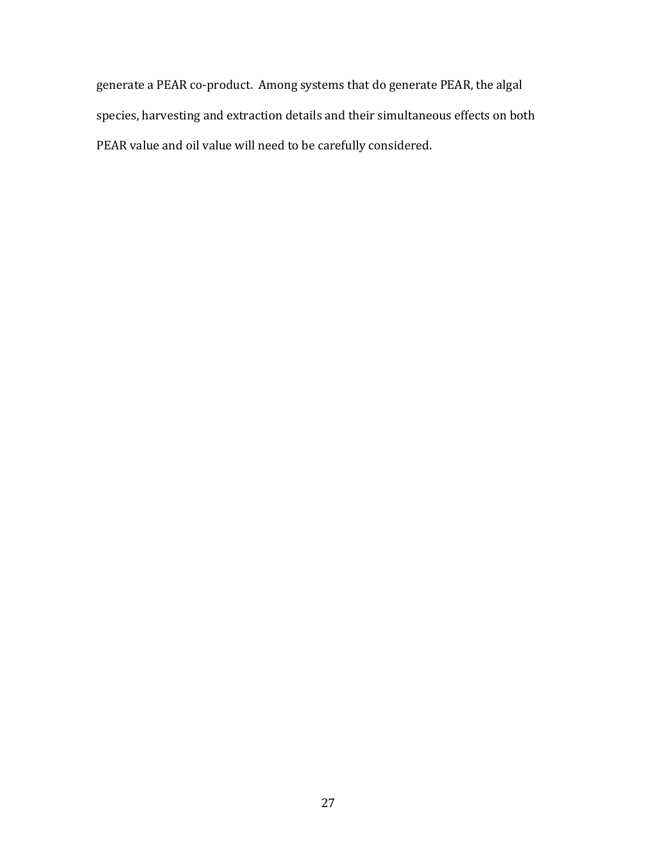generate a PEAR co‐product. Among systems that do generate PEAR, the algal species, harvesting and extraction details and their simultaneous effects on both PEAR value and oil value will need to be carefully considered.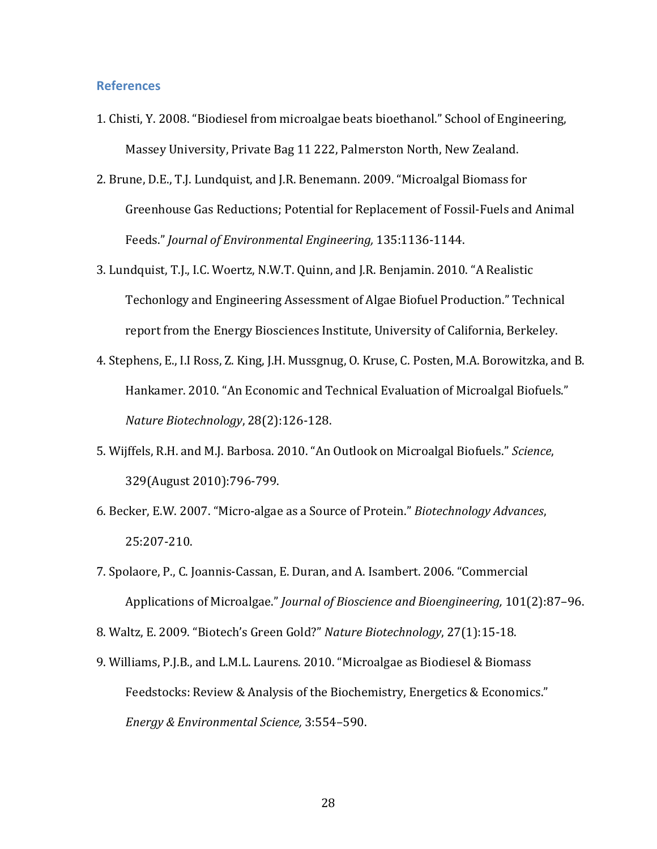#### **References**

- 1. Chisti, Y. 2008. "Biodiesel from microalgae beats bioethanol." School of Engineering, Massey University, Private Bag 11 222, Palmerston North, New Zealand.
- 2. Brune, D.E., T.J. Lundquist, and J.R. Benemann. 2009. "Microalgal Biomass for Greenhouse Gas Reductions; Potential for Replacement of Fossil‐Fuels and Animal Feeds." *Journal of Environmental Engineering,* 135:1136‐1144.
- 3. Lundquist, T.J., I.C. Woertz, N.W.T. Quinn, and J.R. Benjamin. 2010. "A Realistic Techonlogy and Engineering Assessment of Algae Biofuel Production." Technical report from the Energy Biosciences Institute, University of California, Berkeley.
- 4. Stephens, E., I.I Ross, Z. King, J.H. Mussgnug, O. Kruse, C. Posten, M.A. Borowitzka, and B. Hankamer. 2010. "An Economic and Technical Evaluation of Microalgal Biofuels." *Nature Biotechnology*, 28(2):126‐128.
- 5. Wijffels, R.H. and M.J. Barbosa. 2010. "An Outlook on Microalgal Biofuels." *Science*, 329(August 2010):796‐799.
- 6. Becker, E.W. 2007. "Micro‐algae as a Source of Protein." *Biotechnology Advances*, 25:207‐210.
- 7. Spolaore, P., C. Joannis‐Cassan, E. Duran, and A. Isambert. 2006. "Commercial Applications of Microalgae." *Journal of Bioscience and Bioengineering,* 101(2):87–96.

8. Waltz, E. 2009. "Biotech's Green Gold?" *Nature Biotechnology*, 27(1):15‐18.

9. Williams, P.J.B., and L.M.L. Laurens. 2010. "Microalgae as Biodiesel & Biomass Feedstocks: Review & Analysis of the Biochemistry, Energetics & Economics." *Energy & Environmental Science,* 3:554–590.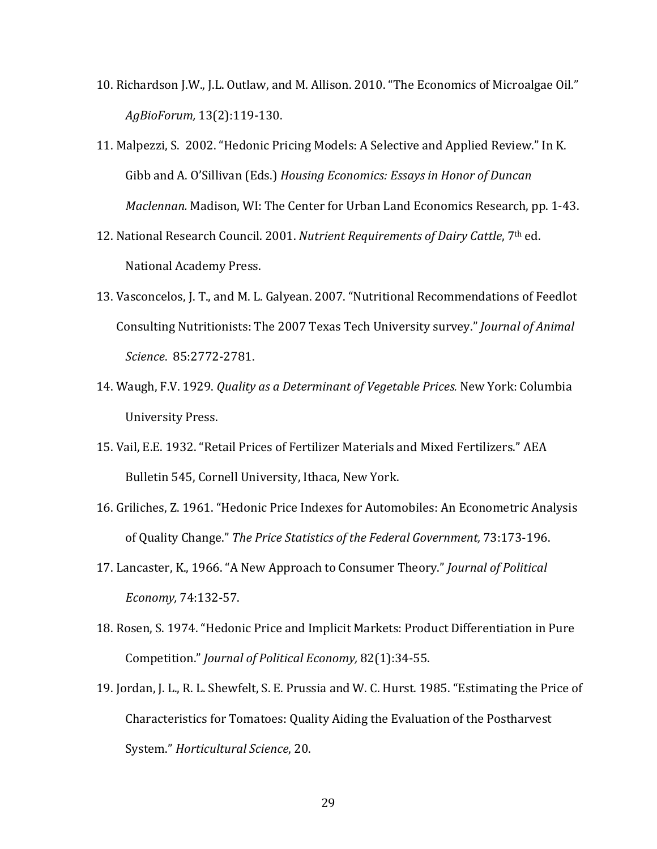- 10. Richardson J.W., J.L. Outlaw, and M. Allison. 2010. "The Economics of Microalgae Oil." *AgBioForum,* 13(2):119‐130.
- 11. Malpezzi, S. 2002. "Hedonic Pricing Models: A Selective and Applied Review." In K. Gibb and A. O'Sillivan (Eds.) *Housing Economics: Essays in Honor of Duncan Maclennan.* Madison, WI: The Center for Urban Land Economics Research, pp. 1‐43.
- 12. National Research Council. 2001. *Nutrient Requirements of Dairy Cattle*, 7th ed. National Academy Press.
- 13. Vasconcelos, J. T., and M. L. Galyean. 2007. "Nutritional Recommendations of Feedlot Consulting Nutritionists: The 2007 Texas Tech University survey." *Journal of Animal Science*. 85:2772‐2781.
- 14. Waugh, F.V. 1929. *Quality as a Determinant of Vegetable Prices.* New York: Columbia University Press.
- 15. Vail, E.E. 1932. "Retail Prices of Fertilizer Materials and Mixed Fertilizers." AEA Bulletin 545, Cornell University, Ithaca, New York.
- 16. Griliches, Z. 1961. "Hedonic Price Indexes for Automobiles: An Econometric Analysis of Quality Change." *The Price Statistics of the Federal Government,* 73:173‐196.
- 17. Lancaster, K., 1966. "A New Approach to Consumer Theory." *Journal of Political Economy,* 74:132‐57.
- 18. Rosen, S. 1974. "Hedonic Price and Implicit Markets: Product Differentiation in Pure Competition." *Journal of Political Economy,* 82(1):34‐55.
- 19. Jordan, J. L., R. L. Shewfelt, S. E. Prussia and W. C. Hurst. 1985. "Estimating the Price of Characteristics for Tomatoes: Quality Aiding the Evaluation of the Postharvest System." *Horticultural Science*, 20.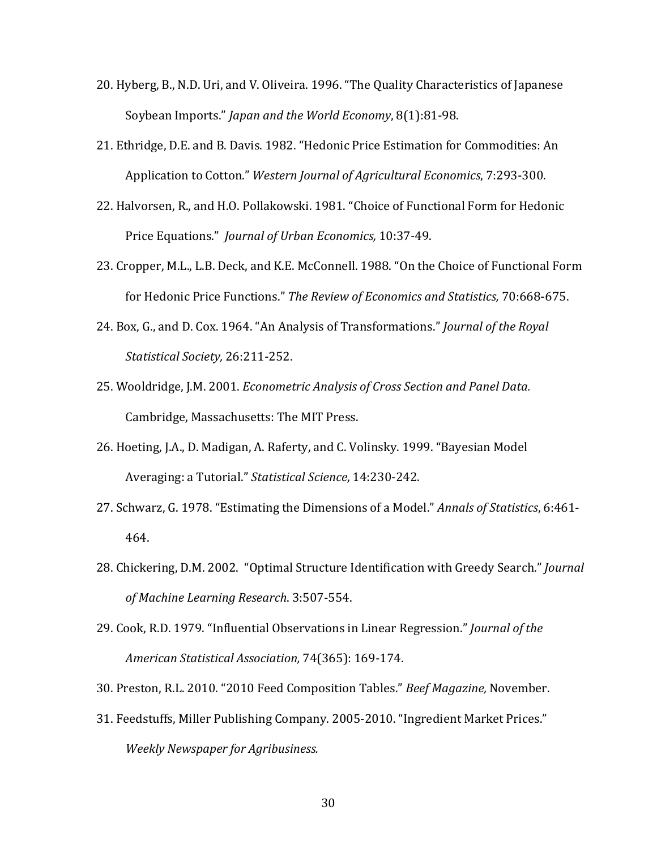- 20. Hyberg, B., N.D. Uri, and V. Oliveira. 1996. "The Quality Characteristics of Japanese Soybean Imports." *Japan and the World Economy*, 8(1):81‐98.
- 21. Ethridge, D.E. and B. Davis. 1982. "Hedonic Price Estimation for Commodities: An Application to Cotton." *Western Journal of Agricultural Economics*, 7:293‐300.
- 22. Halvorsen, R., and H.O. Pollakowski. 1981. "Choice of Functional Form for Hedonic Price Equations." *Journal of Urban Economics,* 10:37‐49.
- 23. Cropper, M.L., L.B. Deck, and K.E. McConnell. 1988. "On the Choice of Functional Form for Hedonic Price Functions." *The Review of Economics and Statistics,* 70:668‐675.
- 24. Box, G., and D. Cox. 1964. "An Analysis of Transformations." *Journal of the Royal Statistical Society,* 26:211‐252.
- 25. Wooldridge, J.M. 2001. *Econometric Analysis of Cross Section and Panel Data.* Cambridge, Massachusetts: The MIT Press.
- 26. Hoeting, J.A., D. Madigan, A. Raferty, and C. Volinsky. 1999. "Bayesian Model Averaging: a Tutorial." *Statistical Science*, 14:230‐242.
- 27. Schwarz, G. 1978. "Estimating the Dimensions of a Model." *Annals of Statistics*, 6:461‐ 464.
- 28. Chickering, D.M. 2002. "Optimal Structure Identification with Greedy Search." *Journal of Machine Learning Research*. 3:507‐554.
- 29. Cook, R.D. 1979. "Influential Observations in Linear Regression." *Journal of the American Statistical Association,* 74(365): 169‐174.
- 30. Preston, R.L. 2010. "2010 Feed Composition Tables." *Beef Magazine,* November.
- 31. Feedstuffs, Miller Publishing Company. 2005‐2010. "Ingredient Market Prices." *Weekly Newspaper for Agribusiness.*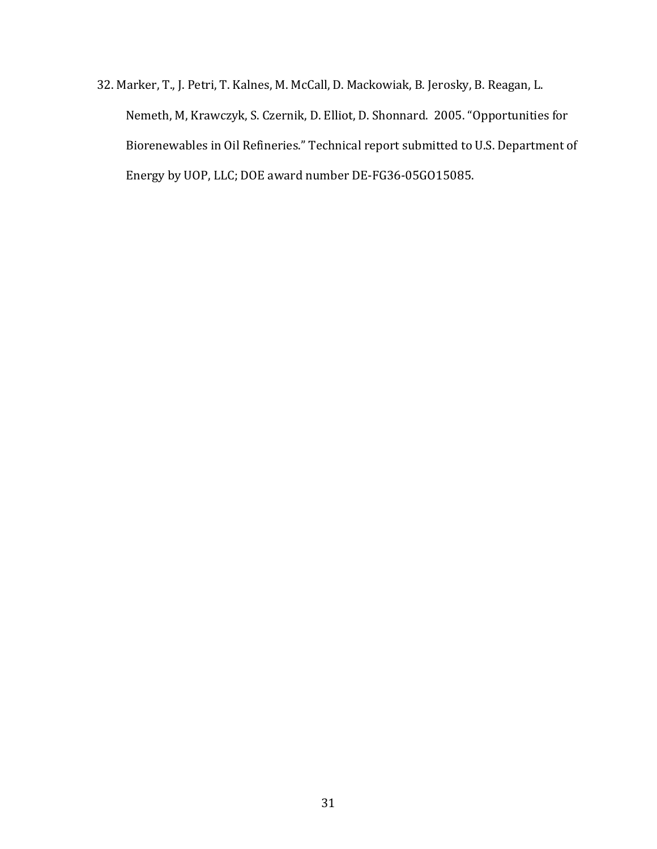32. Marker, T., J. Petri, T. Kalnes, M. McCall, D. Mackowiak, B. Jerosky, B. Reagan, L. Nemeth, M, Krawczyk, S. Czernik, D. Elliot, D. Shonnard. 2005. "Opportunities for Biorenewables in Oil Refineries." Technical report submitted to U.S. Department of Energy by UOP, LLC; DOE award number DE‐FG36‐05GO15085.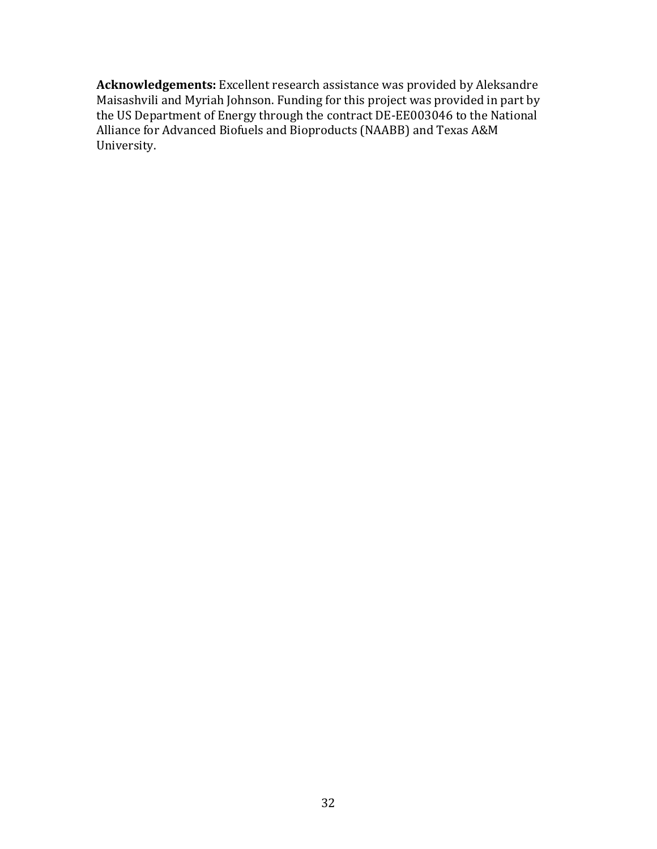**Acknowledgements:** Excellent research assistance was provided by Aleksandre Maisashvili and Myriah Johnson. Funding for this project was provided in part by the US Department of Energy through the contract DE‐EE003046 to the National Alliance for Advanced Biofuels and Bioproducts (NAABB) and Texas A&M University.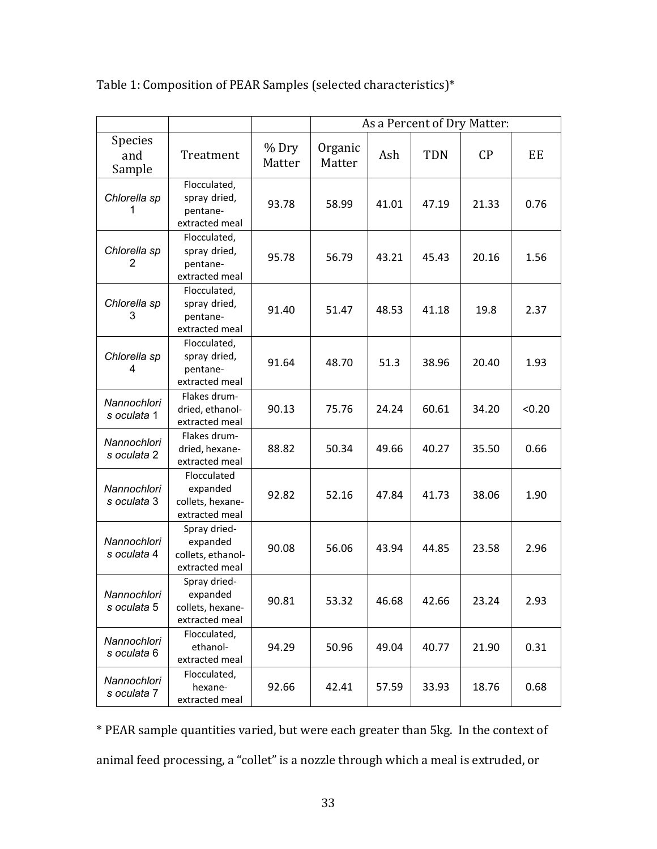|                            |                                                                 |                 | As a Percent of Dry Matter: |       |            |       |        |
|----------------------------|-----------------------------------------------------------------|-----------------|-----------------------------|-------|------------|-------|--------|
| Species<br>and<br>Sample   | Treatment                                                       | % Dry<br>Matter | Organic<br>Matter           | Ash   | <b>TDN</b> | CP    | EE     |
| Chlorella sp<br>1          | Flocculated,<br>spray dried,<br>pentane-<br>extracted meal      | 93.78           | 58.99                       | 41.01 | 47.19      | 21.33 | 0.76   |
| Chlorella sp<br>2          | Flocculated,<br>spray dried,<br>pentane-<br>extracted meal      | 95.78           | 56.79                       | 43.21 | 45.43      | 20.16 | 1.56   |
| Chlorella sp<br>3          | Flocculated,<br>spray dried,<br>pentane-<br>extracted meal      | 91.40           | 51.47                       | 48.53 | 41.18      | 19.8  | 2.37   |
| Chlorella sp<br>4          | Flocculated,<br>spray dried,<br>pentane-<br>extracted meal      | 91.64           | 48.70                       | 51.3  | 38.96      | 20.40 | 1.93   |
| Nannochlori<br>s oculata 1 | Flakes drum-<br>dried, ethanol-<br>extracted meal               | 90.13           | 75.76                       | 24.24 | 60.61      | 34.20 | < 0.20 |
| Nannochlori<br>s oculata 2 | Flakes drum-<br>dried, hexane-<br>extracted meal                | 88.82           | 50.34                       | 49.66 | 40.27      | 35.50 | 0.66   |
| Nannochlori<br>s oculata 3 | Flocculated<br>expanded<br>collets, hexane-<br>extracted meal   | 92.82           | 52.16                       | 47.84 | 41.73      | 38.06 | 1.90   |
| Nannochlori<br>s oculata 4 | Spray dried-<br>expanded<br>collets, ethanol-<br>extracted meal | 90.08           | 56.06                       | 43.94 | 44.85      | 23.58 | 2.96   |
| Nannochlori<br>s oculata 5 | Spray dried-<br>expanded<br>collets, hexane-<br>extracted meal  | 90.81           | 53.32                       | 46.68 | 42.66      | 23.24 | 2.93   |
| Nannochlori<br>s oculata 6 | Flocculated,<br>ethanol-<br>extracted meal                      | 94.29           | 50.96                       | 49.04 | 40.77      | 21.90 | 0.31   |
| Nannochlori<br>s oculata 7 | Flocculated,<br>hexane-<br>extracted meal                       | 92.66           | 42.41                       | 57.59 | 33.93      | 18.76 | 0.68   |

Table 1: Composition of PEAR Samples (selected characteristics)\*

\* PEAR sample quantities varied, but were each greater than 5kg. In the context of animal feed processing, a "collet" is a nozzle through which a meal is extruded, or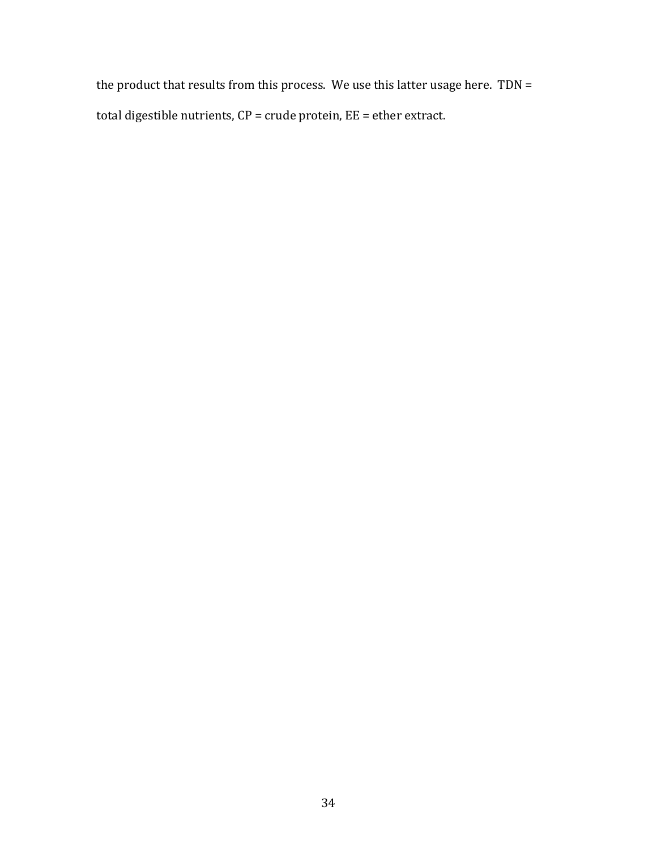the product that results from this process. We use this latter usage here. TDN = total digestible nutrients, CP = crude protein, EE = ether extract.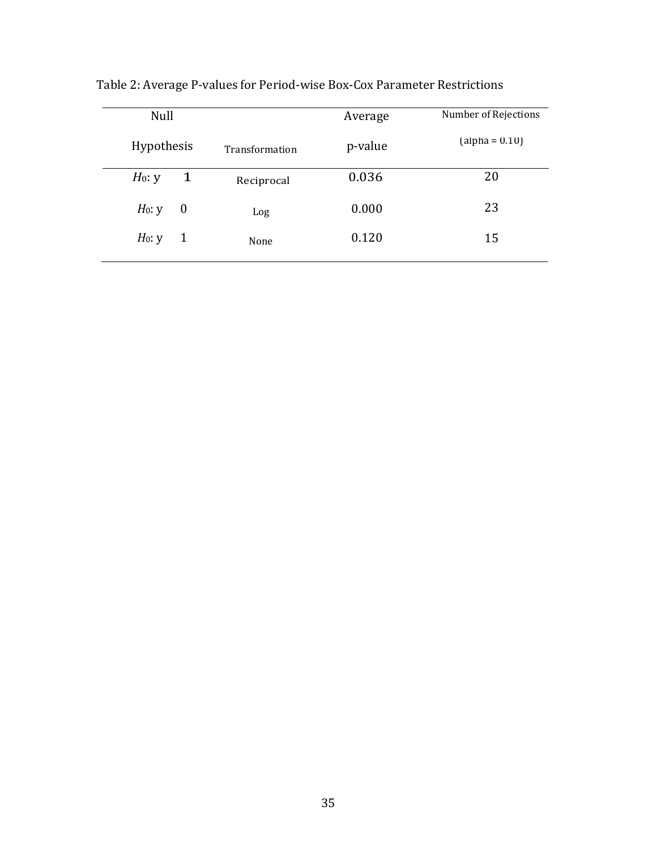| Null       |              | Average        | Number of Rejections |                  |  |
|------------|--------------|----------------|----------------------|------------------|--|
| Hypothesis |              | Transformation | p-value              | $(alpha = 0.10)$ |  |
| $H_0: y$   | $\mathbf{1}$ | Reciprocal     | 0.036                | 20               |  |
| $H_0: y$   | $\bf{0}$     | Log            | 0.000                | 23               |  |
| $H_0: y$   | $\mathbf{1}$ | None           | 0.120                | 15               |  |

Table 2: Average P‐values for Period‐wise Box‐Cox Parameter Restrictions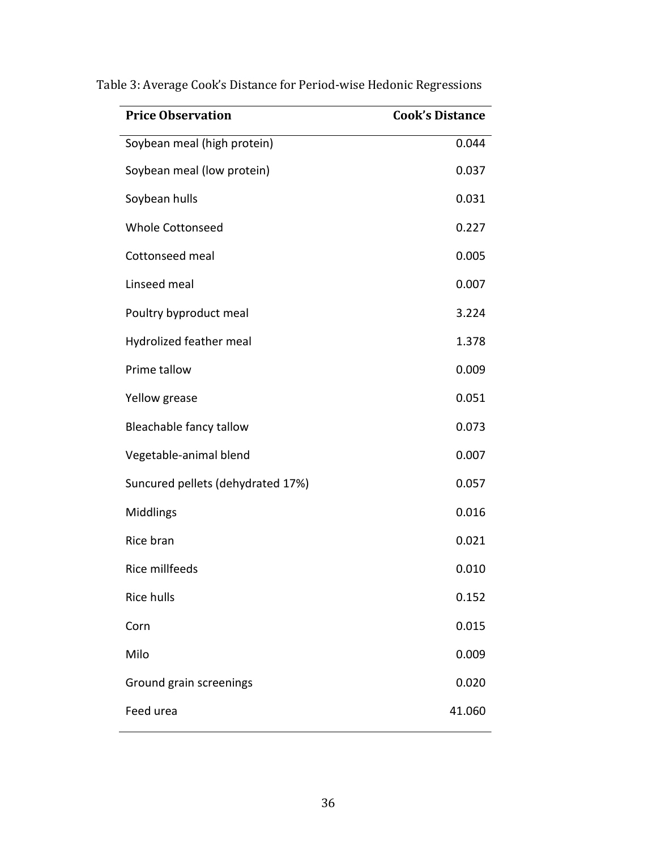| <b>Price Observation</b>          | <b>Cook's Distance</b> |
|-----------------------------------|------------------------|
| Soybean meal (high protein)       | 0.044                  |
| Soybean meal (low protein)        | 0.037                  |
| Soybean hulls                     | 0.031                  |
| <b>Whole Cottonseed</b>           | 0.227                  |
| Cottonseed meal                   | 0.005                  |
| Linseed meal                      | 0.007                  |
| Poultry byproduct meal            | 3.224                  |
| Hydrolized feather meal           | 1.378                  |
| Prime tallow                      | 0.009                  |
| Yellow grease                     | 0.051                  |
| Bleachable fancy tallow           | 0.073                  |
| Vegetable-animal blend            | 0.007                  |
| Suncured pellets (dehydrated 17%) | 0.057                  |
| Middlings                         | 0.016                  |
| Rice bran                         | 0.021                  |
| Rice millfeeds                    | 0.010                  |
| Rice hulls                        | 0.152                  |
| Corn                              | 0.015                  |
| Milo                              | 0.009                  |
| Ground grain screenings           | 0.020                  |
| Feed urea                         | 41.060                 |

Table 3: Average Cook's Distance for Period‐wise Hedonic Regressions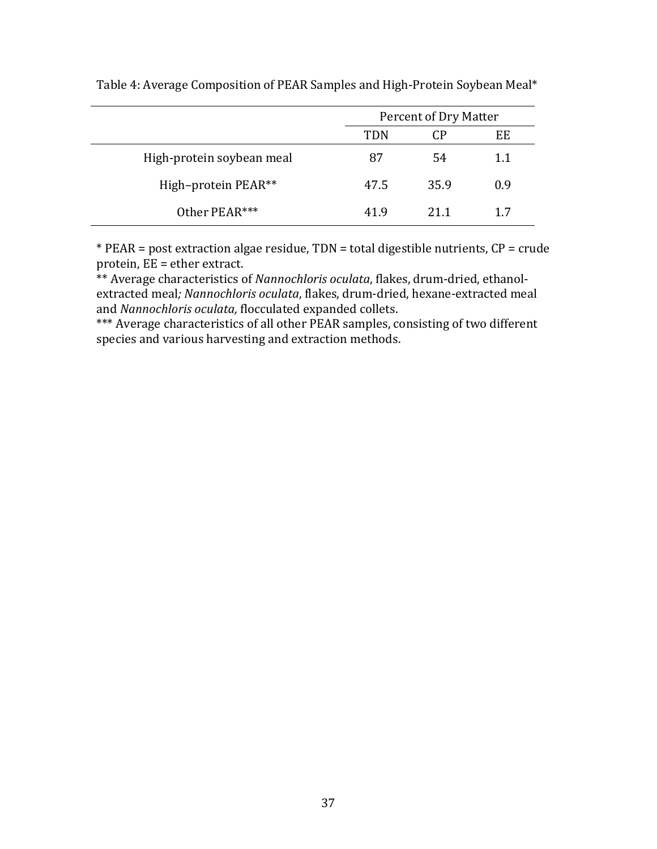|                           |      | Percent of Dry Matter |     |  |  |
|---------------------------|------|-----------------------|-----|--|--|
|                           | TDN  | CP                    | EE  |  |  |
| High-protein soybean meal | 87   | 54                    | 1.1 |  |  |
| High-protein PEAR**       | 47.5 | 35.9                  | 0.9 |  |  |
| Other PEAR***             | 41.9 | 21 1                  | 17  |  |  |

Table 4: Average Composition of PEAR Samples and High-Protein Soybean Meal\*

\* PEAR = post extraction algae residue, TDN = total digestible nutrients, CP = crude protein,  $\overline{EE}$  = ether extract.

\*\* Average characteristics of *Nannochloris oculata*, flakes, drum-dried, ethanolextracted meal*; Nannochloris oculata*, flakes, drum‐dried, hexane‐extracted meal and *Nannochloris oculata,* flocculated expanded collets.

\*\*\* Average characteristics of all other PEAR samples, consisting of two different species and various harvesting and extraction methods.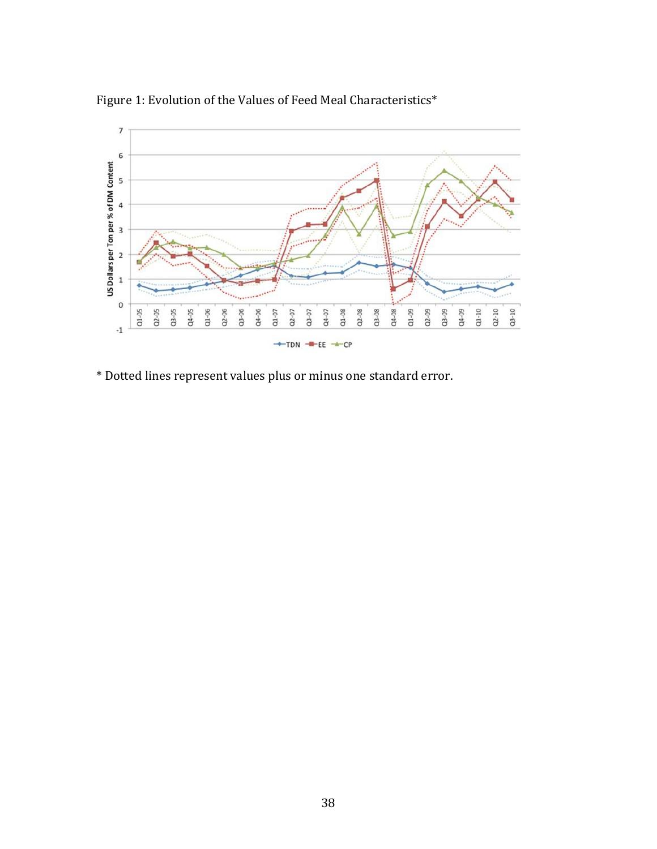

Figure 1: Evolution of the Values of Feed Meal Characteristics\*

\* Dotted lines represent values plus or minus one standard error.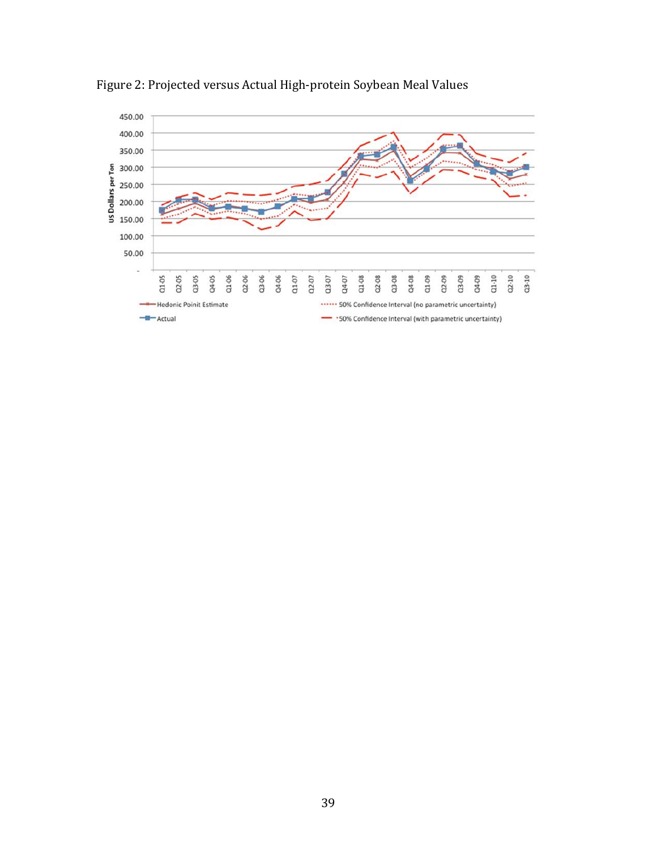

Figure 2: Projected versus Actual High‐protein Soybean Meal Values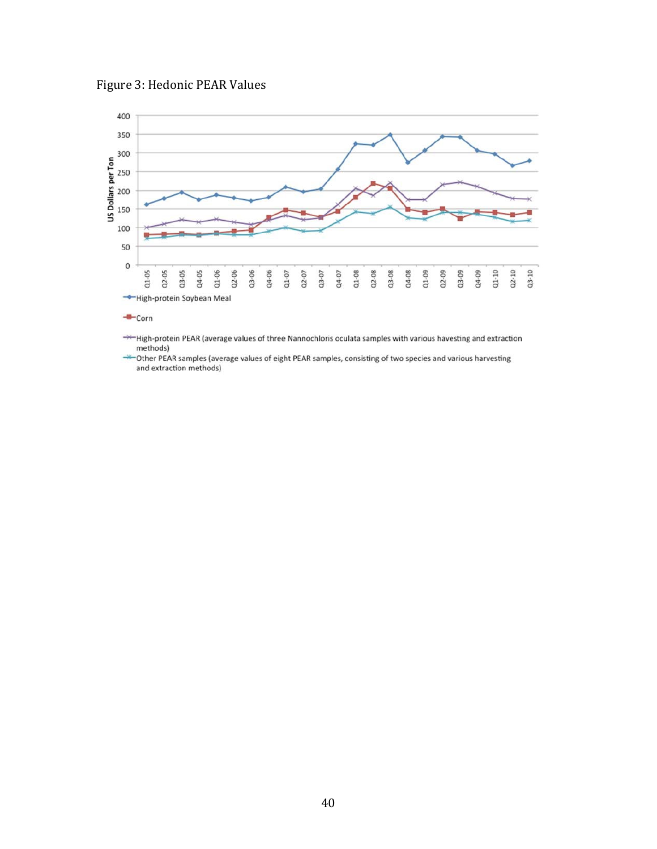



++High-protein PEAR (average values of three Nannochloris oculata samples with various havesting and extraction methods)

\*Other PEAR samples (average values of eight PEAR samples, consisting of two species and various harvesting and extraction methods)